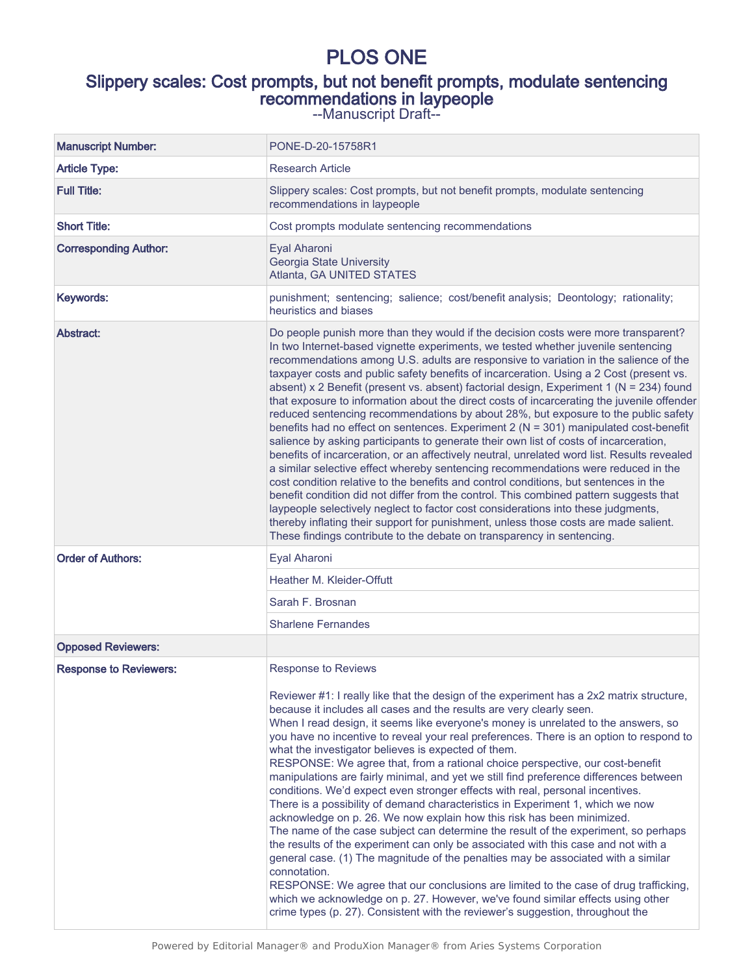# PLOS ONE

# Slippery scales: Cost prompts, but not benefit prompts, modulate sentencing recommendations in laypeople

--Manuscript Draft--

| <b>Manuscript Number:</b>     | PONE-D-20-15758R1                                                                                                                                                                                                                                                                                                                                                                                                                                                                                                                                                                                                                                                                                                                                                                                                                                                                                                                                                                                                                                                                                                                                                                                                                                                                                                                                                                                                                                       |
|-------------------------------|---------------------------------------------------------------------------------------------------------------------------------------------------------------------------------------------------------------------------------------------------------------------------------------------------------------------------------------------------------------------------------------------------------------------------------------------------------------------------------------------------------------------------------------------------------------------------------------------------------------------------------------------------------------------------------------------------------------------------------------------------------------------------------------------------------------------------------------------------------------------------------------------------------------------------------------------------------------------------------------------------------------------------------------------------------------------------------------------------------------------------------------------------------------------------------------------------------------------------------------------------------------------------------------------------------------------------------------------------------------------------------------------------------------------------------------------------------|
| <b>Article Type:</b>          | <b>Research Article</b>                                                                                                                                                                                                                                                                                                                                                                                                                                                                                                                                                                                                                                                                                                                                                                                                                                                                                                                                                                                                                                                                                                                                                                                                                                                                                                                                                                                                                                 |
| <b>Full Title:</b>            | Slippery scales: Cost prompts, but not benefit prompts, modulate sentencing<br>recommendations in laypeople                                                                                                                                                                                                                                                                                                                                                                                                                                                                                                                                                                                                                                                                                                                                                                                                                                                                                                                                                                                                                                                                                                                                                                                                                                                                                                                                             |
| <b>Short Title:</b>           | Cost prompts modulate sentencing recommendations                                                                                                                                                                                                                                                                                                                                                                                                                                                                                                                                                                                                                                                                                                                                                                                                                                                                                                                                                                                                                                                                                                                                                                                                                                                                                                                                                                                                        |
| <b>Corresponding Author:</b>  | Eyal Aharoni<br>Georgia State University<br>Atlanta, GA UNITED STATES                                                                                                                                                                                                                                                                                                                                                                                                                                                                                                                                                                                                                                                                                                                                                                                                                                                                                                                                                                                                                                                                                                                                                                                                                                                                                                                                                                                   |
| Keywords:                     | punishment; sentencing; salience; cost/benefit analysis; Deontology; rationality;<br>heuristics and biases                                                                                                                                                                                                                                                                                                                                                                                                                                                                                                                                                                                                                                                                                                                                                                                                                                                                                                                                                                                                                                                                                                                                                                                                                                                                                                                                              |
| Abstract:                     | Do people punish more than they would if the decision costs were more transparent?<br>In two Internet-based vignette experiments, we tested whether juvenile sentencing<br>recommendations among U.S. adults are responsive to variation in the salience of the<br>taxpayer costs and public safety benefits of incarceration. Using a 2 Cost (present vs.<br>absent) x 2 Benefit (present vs. absent) factorial design, Experiment 1 (N = 234) found<br>that exposure to information about the direct costs of incarcerating the juvenile offender<br>reduced sentencing recommendations by about 28%, but exposure to the public safety<br>benefits had no effect on sentences. Experiment 2 (N = 301) manipulated cost-benefit<br>salience by asking participants to generate their own list of costs of incarceration,<br>benefits of incarceration, or an affectively neutral, unrelated word list. Results revealed<br>a similar selective effect whereby sentencing recommendations were reduced in the<br>cost condition relative to the benefits and control conditions, but sentences in the<br>benefit condition did not differ from the control. This combined pattern suggests that<br>laypeople selectively neglect to factor cost considerations into these judgments,<br>thereby inflating their support for punishment, unless those costs are made salient.<br>These findings contribute to the debate on transparency in sentencing. |
| <b>Order of Authors:</b>      | Eyal Aharoni                                                                                                                                                                                                                                                                                                                                                                                                                                                                                                                                                                                                                                                                                                                                                                                                                                                                                                                                                                                                                                                                                                                                                                                                                                                                                                                                                                                                                                            |
|                               | <b>Heather M. Kleider-Offutt</b>                                                                                                                                                                                                                                                                                                                                                                                                                                                                                                                                                                                                                                                                                                                                                                                                                                                                                                                                                                                                                                                                                                                                                                                                                                                                                                                                                                                                                        |
|                               | Sarah F. Brosnan                                                                                                                                                                                                                                                                                                                                                                                                                                                                                                                                                                                                                                                                                                                                                                                                                                                                                                                                                                                                                                                                                                                                                                                                                                                                                                                                                                                                                                        |
|                               | <b>Sharlene Fernandes</b>                                                                                                                                                                                                                                                                                                                                                                                                                                                                                                                                                                                                                                                                                                                                                                                                                                                                                                                                                                                                                                                                                                                                                                                                                                                                                                                                                                                                                               |
| <b>Opposed Reviewers:</b>     |                                                                                                                                                                                                                                                                                                                                                                                                                                                                                                                                                                                                                                                                                                                                                                                                                                                                                                                                                                                                                                                                                                                                                                                                                                                                                                                                                                                                                                                         |
| <b>Response to Reviewers:</b> | <b>Response to Reviews</b><br>Reviewer #1: I really like that the design of the experiment has a 2x2 matrix structure,<br>because it includes all cases and the results are very clearly seen.<br>When I read design, it seems like everyone's money is unrelated to the answers, so<br>you have no incentive to reveal your real preferences. There is an option to respond to<br>what the investigator believes is expected of them.<br>RESPONSE: We agree that, from a rational choice perspective, our cost-benefit<br>manipulations are fairly minimal, and yet we still find preference differences between<br>conditions. We'd expect even stronger effects with real, personal incentives.<br>There is a possibility of demand characteristics in Experiment 1, which we now<br>acknowledge on p. 26. We now explain how this risk has been minimized.<br>The name of the case subject can determine the result of the experiment, so perhaps<br>the results of the experiment can only be associated with this case and not with a<br>general case. (1) The magnitude of the penalties may be associated with a similar<br>connotation.<br>RESPONSE: We agree that our conclusions are limited to the case of drug trafficking,<br>which we acknowledge on p. 27. However, we've found similar effects using other<br>crime types (p. 27). Consistent with the reviewer's suggestion, throughout the                                           |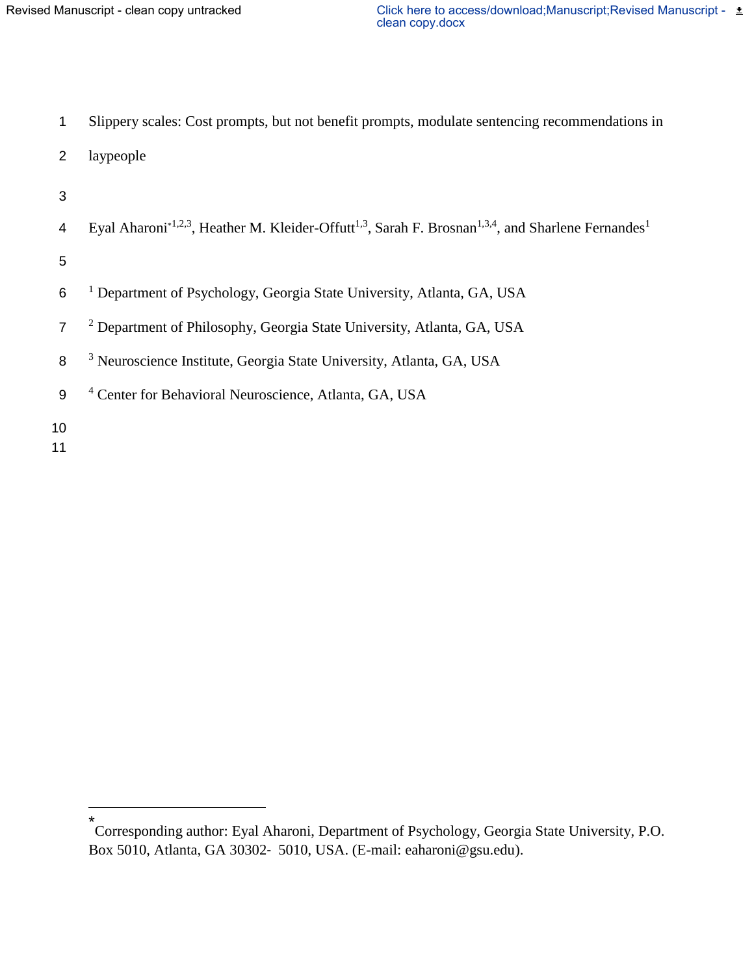| 1              | Slippery scales: Cost prompts, but not benefit prompts, modulate sentencing recommendations in                                                      |
|----------------|-----------------------------------------------------------------------------------------------------------------------------------------------------|
| 2              | laypeople                                                                                                                                           |
| 3              |                                                                                                                                                     |
| 4              | Eyal Aharoni <sup>*1,2,3</sup> , Heather M. Kleider-Offutt <sup>1,3</sup> , Sarah F. Brosnan <sup>1,3,4</sup> , and Sharlene Fernandes <sup>1</sup> |
| 5              |                                                                                                                                                     |
| 6              | <sup>1</sup> Department of Psychology, Georgia State University, Atlanta, GA, USA                                                                   |
| $\overline{7}$ | <sup>2</sup> Department of Philosophy, Georgia State University, Atlanta, GA, USA                                                                   |
| 8              | <sup>3</sup> Neuroscience Institute, Georgia State University, Atlanta, GA, USA                                                                     |
| 9              | <sup>4</sup> Center for Behavioral Neuroscience, Atlanta, GA, USA                                                                                   |
| 10             |                                                                                                                                                     |

11

<sup>\*</sup> Corresponding author: Eyal Aharoni, Department of Psychology, Georgia State University, P.O. Box 5010, Atlanta, GA 30302‐ 5010, USA. (E-mail: eaharoni@gsu.edu).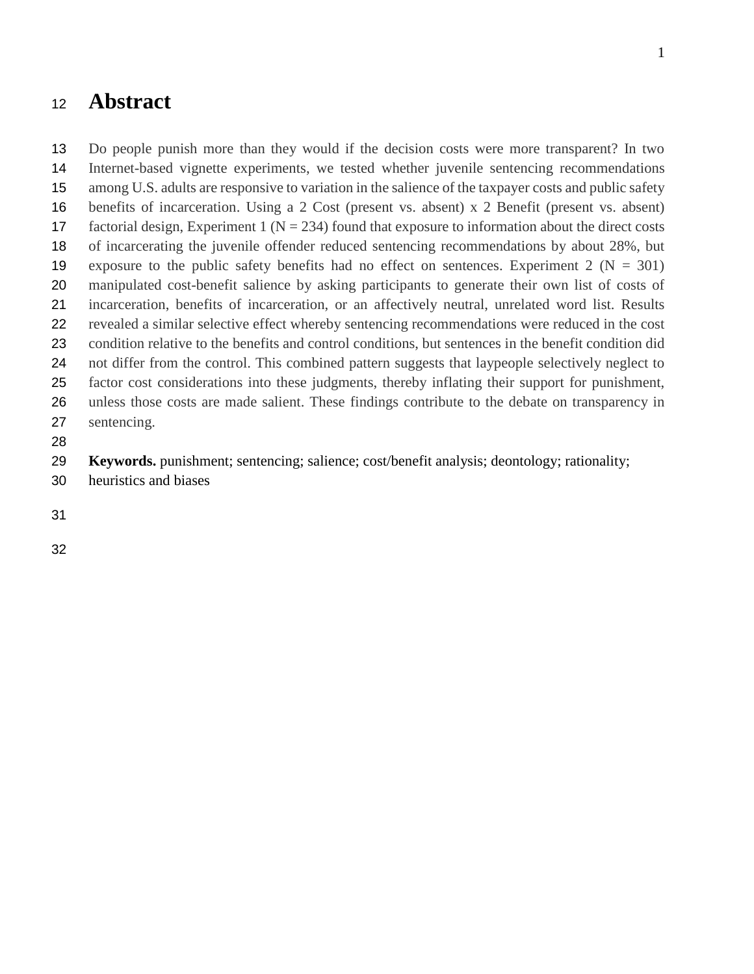# **Abstract**

 Do people punish more than they would if the decision costs were more transparent? In two Internet-based vignette experiments, we tested whether juvenile sentencing recommendations among U.S. adults are responsive to variation in the salience of the taxpayer costs and public safety benefits of incarceration. Using a 2 Cost (present vs. absent) x 2 Benefit (present vs. absent) 17 factorial design, Experiment 1 ( $N = 234$ ) found that exposure to information about the direct costs of incarcerating the juvenile offender reduced sentencing recommendations by about 28%, but 19 exposure to the public safety benefits had no effect on sentences. Experiment 2 ( $N = 301$ ) manipulated cost-benefit salience by asking participants to generate their own list of costs of incarceration, benefits of incarceration, or an affectively neutral, unrelated word list. Results revealed a similar selective effect whereby sentencing recommendations were reduced in the cost condition relative to the benefits and control conditions, but sentences in the benefit condition did not differ from the control. This combined pattern suggests that laypeople selectively neglect to factor cost considerations into these judgments, thereby inflating their support for punishment, unless those costs are made salient. These findings contribute to the debate on transparency in sentencing.

**Keywords.** punishment; sentencing; salience; cost/benefit analysis; deontology; rationality;

- heuristics and biases
-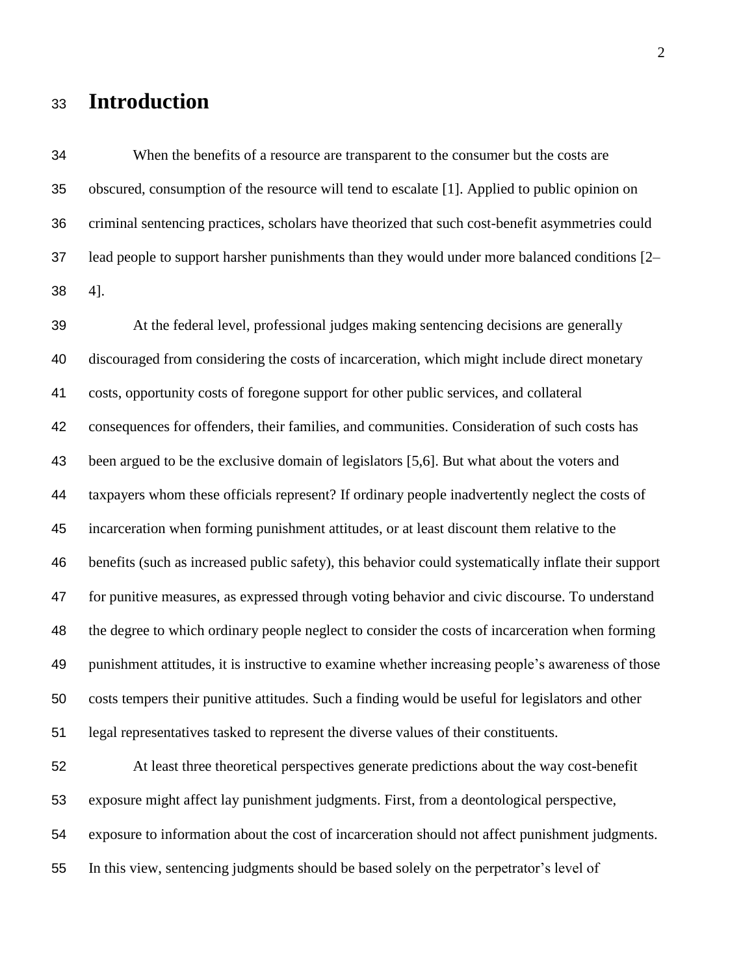# **Introduction**

 When the benefits of a resource are transparent to the consumer but the costs are obscured, consumption of the resource will tend to escalate [1]. Applied to public opinion on criminal sentencing practices, scholars have theorized that such cost-benefit asymmetries could lead people to support harsher punishments than they would under more balanced conditions [2– 4].

 At the federal level, professional judges making sentencing decisions are generally discouraged from considering the costs of incarceration, which might include direct monetary costs, opportunity costs of foregone support for other public services, and collateral consequences for offenders, their families, and communities. Consideration of such costs has been argued to be the exclusive domain of legislators [5,6]. But what about the voters and taxpayers whom these officials represent? If ordinary people inadvertently neglect the costs of incarceration when forming punishment attitudes, or at least discount them relative to the benefits (such as increased public safety), this behavior could systematically inflate their support for punitive measures, as expressed through voting behavior and civic discourse. To understand the degree to which ordinary people neglect to consider the costs of incarceration when forming punishment attitudes, it is instructive to examine whether increasing people's awareness of those costs tempers their punitive attitudes. Such a finding would be useful for legislators and other legal representatives tasked to represent the diverse values of their constituents.

 At least three theoretical perspectives generate predictions about the way cost-benefit exposure might affect lay punishment judgments. First, from a deontological perspective, exposure to information about the cost of incarceration should not affect punishment judgments. In this view, sentencing judgments should be based solely on the perpetrator's level of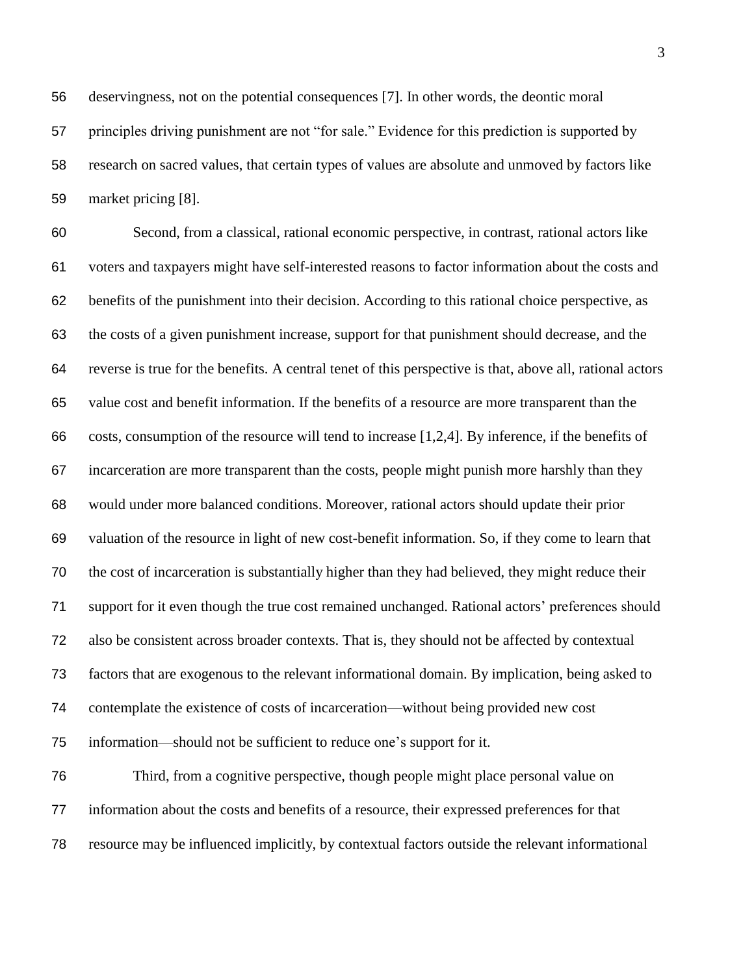deservingness, not on the potential consequences [7]. In other words, the deontic moral principles driving punishment are not "for sale." Evidence for this prediction is supported by research on sacred values, that certain types of values are absolute and unmoved by factors like market pricing [8].

 Second, from a classical, rational economic perspective, in contrast, rational actors like voters and taxpayers might have self-interested reasons to factor information about the costs and benefits of the punishment into their decision. According to this rational choice perspective, as the costs of a given punishment increase, support for that punishment should decrease, and the reverse is true for the benefits. A central tenet of this perspective is that, above all, rational actors value cost and benefit information. If the benefits of a resource are more transparent than the costs, consumption of the resource will tend to increase [1,2,4]. By inference, if the benefits of incarceration are more transparent than the costs, people might punish more harshly than they would under more balanced conditions. Moreover, rational actors should update their prior valuation of the resource in light of new cost-benefit information. So, if they come to learn that the cost of incarceration is substantially higher than they had believed, they might reduce their support for it even though the true cost remained unchanged. Rational actors' preferences should also be consistent across broader contexts. That is, they should not be affected by contextual factors that are exogenous to the relevant informational domain. By implication, being asked to contemplate the existence of costs of incarceration—without being provided new cost information—should not be sufficient to reduce one's support for it.

 Third, from a cognitive perspective, though people might place personal value on information about the costs and benefits of a resource, their expressed preferences for that resource may be influenced implicitly, by contextual factors outside the relevant informational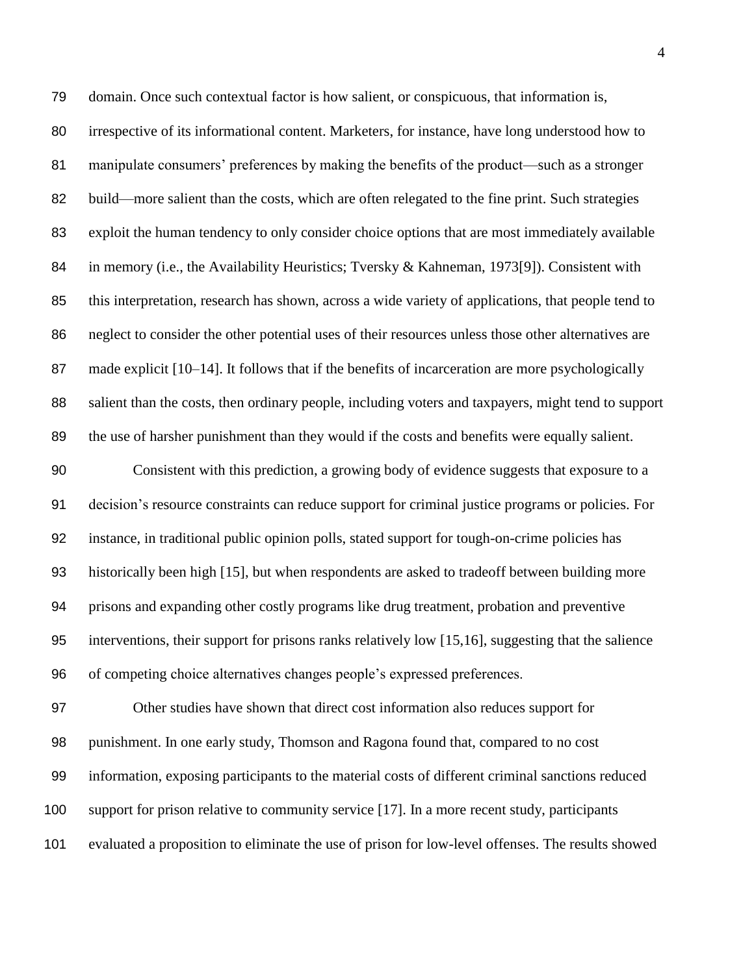domain. Once such contextual factor is how salient, or conspicuous, that information is, irrespective of its informational content. Marketers, for instance, have long understood how to manipulate consumers' preferences by making the benefits of the product—such as a stronger build—more salient than the costs, which are often relegated to the fine print. Such strategies exploit the human tendency to only consider choice options that are most immediately available 84 in memory (i.e., the Availability Heuristics; Tversky & Kahneman, 1973[9]). Consistent with this interpretation, research has shown, across a wide variety of applications, that people tend to neglect to consider the other potential uses of their resources unless those other alternatives are 87 made explicit [10–14]. It follows that if the benefits of incarceration are more psychologically salient than the costs, then ordinary people, including voters and taxpayers, might tend to support the use of harsher punishment than they would if the costs and benefits were equally salient. Consistent with this prediction, a growing body of evidence suggests that exposure to a decision's resource constraints can reduce support for criminal justice programs or policies. For instance, in traditional public opinion polls, stated support for tough-on-crime policies has historically been high [15], but when respondents are asked to tradeoff between building more prisons and expanding other costly programs like drug treatment, probation and preventive interventions, their support for prisons ranks relatively low [15,16], suggesting that the salience of competing choice alternatives changes people's expressed preferences.

 Other studies have shown that direct cost information also reduces support for punishment. In one early study, Thomson and Ragona found that, compared to no cost information, exposing participants to the material costs of different criminal sanctions reduced support for prison relative to community service [17]. In a more recent study, participants evaluated a proposition to eliminate the use of prison for low-level offenses. The results showed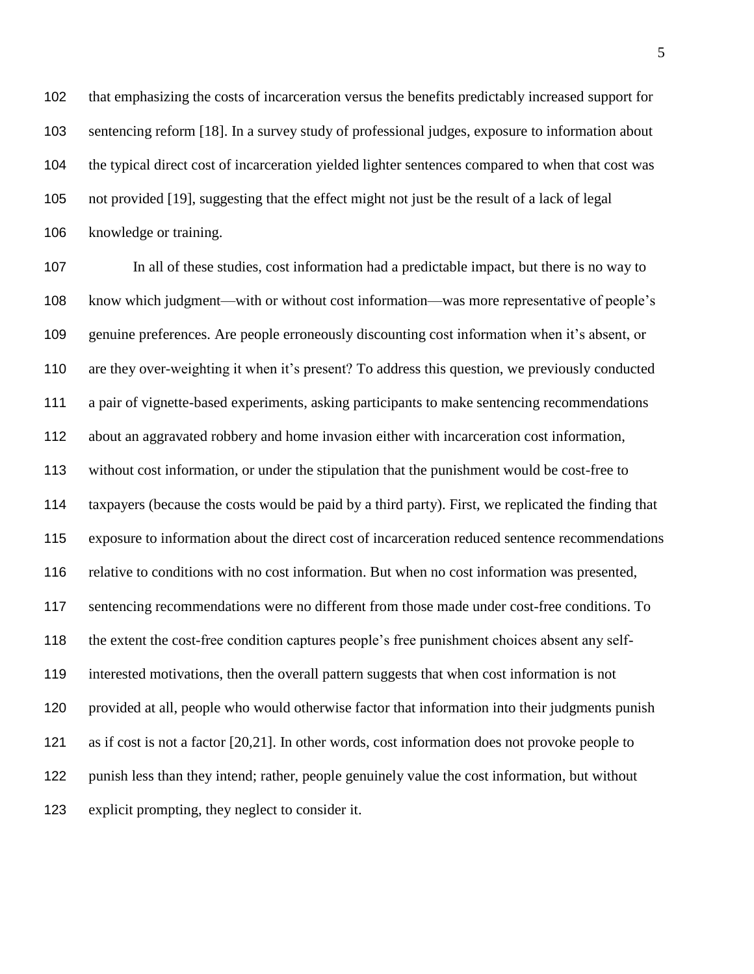that emphasizing the costs of incarceration versus the benefits predictably increased support for sentencing reform [18]. In a survey study of professional judges, exposure to information about the typical direct cost of incarceration yielded lighter sentences compared to when that cost was not provided [19], suggesting that the effect might not just be the result of a lack of legal knowledge or training.

 In all of these studies, cost information had a predictable impact, but there is no way to know which judgment—with or without cost information—was more representative of people's genuine preferences. Are people erroneously discounting cost information when it's absent, or are they over-weighting it when it's present? To address this question, we previously conducted a pair of vignette-based experiments, asking participants to make sentencing recommendations about an aggravated robbery and home invasion either with incarceration cost information, without cost information, or under the stipulation that the punishment would be cost-free to taxpayers (because the costs would be paid by a third party). First, we replicated the finding that exposure to information about the direct cost of incarceration reduced sentence recommendations relative to conditions with no cost information. But when no cost information was presented, sentencing recommendations were no different from those made under cost-free conditions. To the extent the cost-free condition captures people's free punishment choices absent any self- interested motivations, then the overall pattern suggests that when cost information is not provided at all, people who would otherwise factor that information into their judgments punish as if cost is not a factor [20,21]. In other words, cost information does not provoke people to punish less than they intend; rather, people genuinely value the cost information, but without explicit prompting, they neglect to consider it.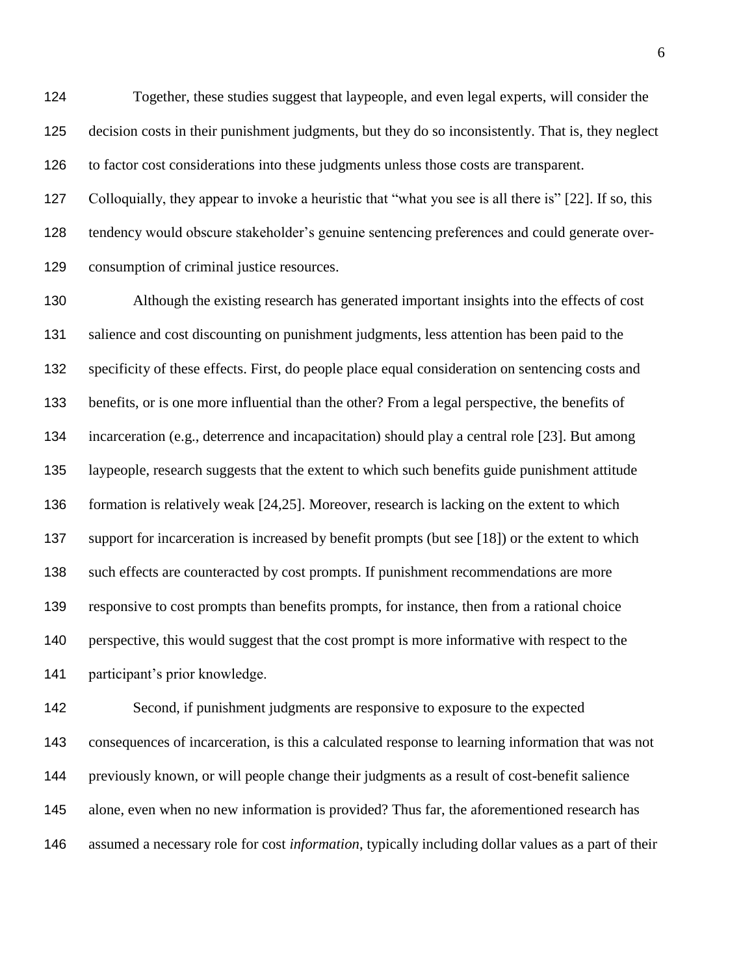Together, these studies suggest that laypeople, and even legal experts, will consider the decision costs in their punishment judgments, but they do so inconsistently. That is, they neglect to factor cost considerations into these judgments unless those costs are transparent.

 Colloquially, they appear to invoke a heuristic that "what you see is all there is" [22]. If so, this tendency would obscure stakeholder's genuine sentencing preferences and could generate over-consumption of criminal justice resources.

 Although the existing research has generated important insights into the effects of cost salience and cost discounting on punishment judgments, less attention has been paid to the specificity of these effects. First, do people place equal consideration on sentencing costs and benefits, or is one more influential than the other? From a legal perspective, the benefits of incarceration (e.g., deterrence and incapacitation) should play a central role [23]. But among laypeople, research suggests that the extent to which such benefits guide punishment attitude formation is relatively weak [24,25]. Moreover, research is lacking on the extent to which support for incarceration is increased by benefit prompts (but see [18]) or the extent to which such effects are counteracted by cost prompts. If punishment recommendations are more responsive to cost prompts than benefits prompts, for instance, then from a rational choice perspective, this would suggest that the cost prompt is more informative with respect to the participant's prior knowledge.

 Second, if punishment judgments are responsive to exposure to the expected consequences of incarceration, is this a calculated response to learning information that was not previously known, or will people change their judgments as a result of cost-benefit salience alone, even when no new information is provided? Thus far, the aforementioned research has assumed a necessary role for cost *information*, typically including dollar values as a part of their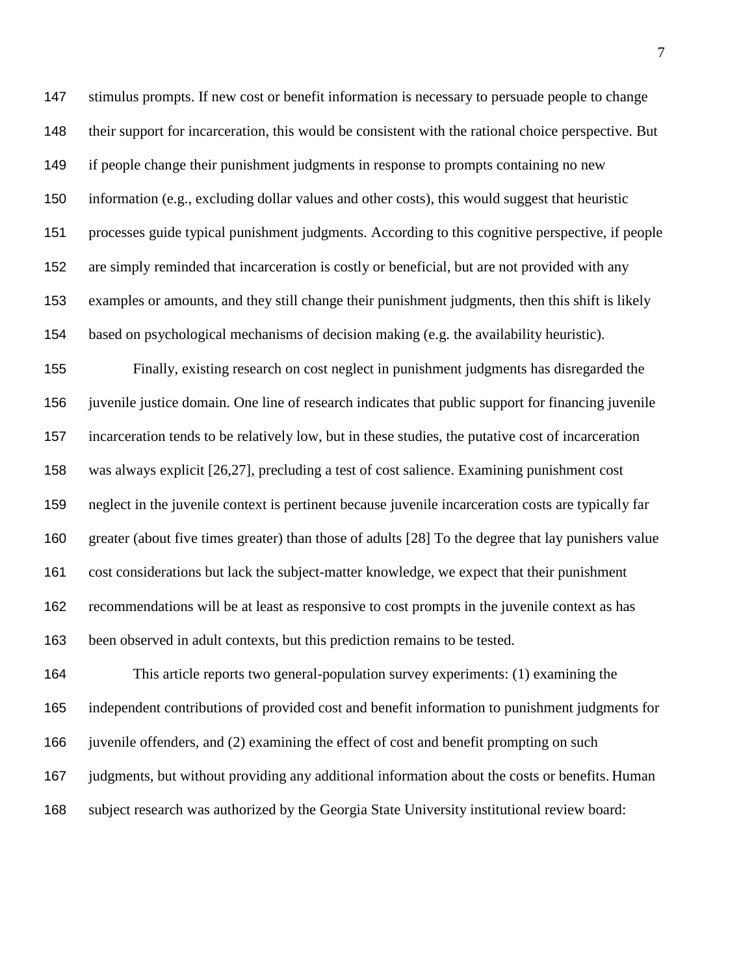stimulus prompts. If new cost or benefit information is necessary to persuade people to change their support for incarceration, this would be consistent with the rational choice perspective. But if people change their punishment judgments in response to prompts containing no new information (e.g., excluding dollar values and other costs), this would suggest that heuristic processes guide typical punishment judgments. According to this cognitive perspective, if people are simply reminded that incarceration is costly or beneficial, but are not provided with any examples or amounts, and they still change their punishment judgments, then this shift is likely based on psychological mechanisms of decision making (e.g. the availability heuristic).

 Finally, existing research on cost neglect in punishment judgments has disregarded the juvenile justice domain. One line of research indicates that public support for financing juvenile incarceration tends to be relatively low, but in these studies, the putative cost of incarceration was always explicit [26,27], precluding a test of cost salience. Examining punishment cost neglect in the juvenile context is pertinent because juvenile incarceration costs are typically far greater (about five times greater) than those of adults [28] To the degree that lay punishers value cost considerations but lack the subject-matter knowledge, we expect that their punishment recommendations will be at least as responsive to cost prompts in the juvenile context as has been observed in adult contexts, but this prediction remains to be tested.

 This article reports two general-population survey experiments: (1) examining the independent contributions of provided cost and benefit information to punishment judgments for juvenile offenders, and (2) examining the effect of cost and benefit prompting on such judgments, but without providing any additional information about the costs or benefits. Human subject research was authorized by the Georgia State University institutional review board: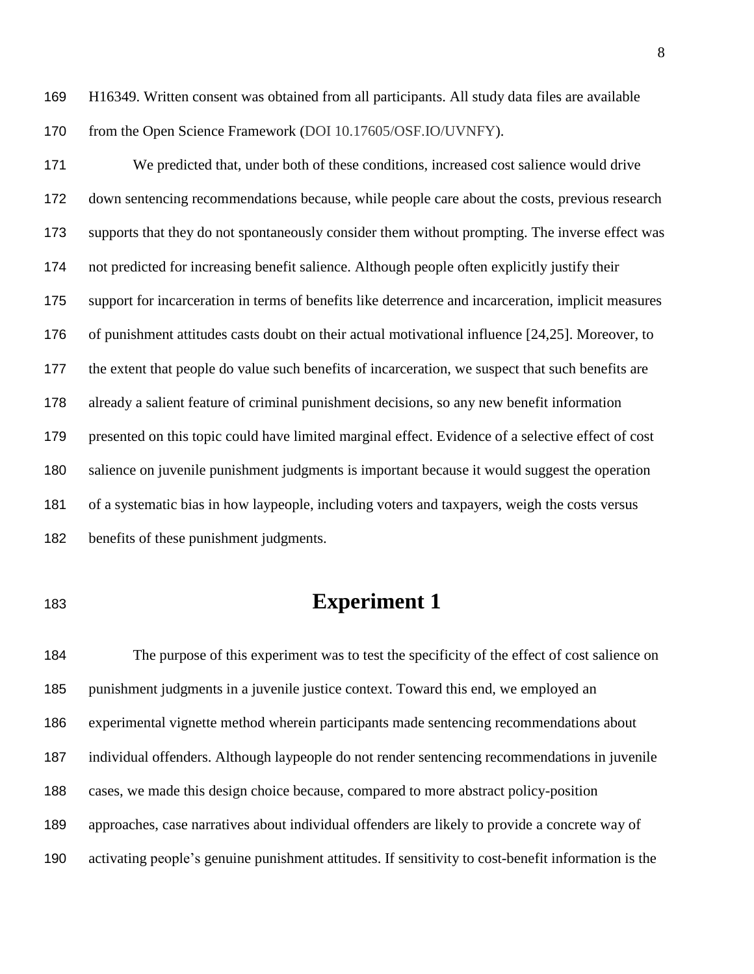- H16349. Written consent was obtained from all participants. All study data files are available 170 from the Open Science Framework (DOI 10.17605/OSF.IO/UVNFY).
- We predicted that, under both of these conditions, increased cost salience would drive down sentencing recommendations because, while people care about the costs, previous research supports that they do not spontaneously consider them without prompting. The inverse effect was not predicted for increasing benefit salience. Although people often explicitly justify their support for incarceration in terms of benefits like deterrence and incarceration, implicit measures of punishment attitudes casts doubt on their actual motivational influence [24,25]. Moreover, to the extent that people do value such benefits of incarceration, we suspect that such benefits are already a salient feature of criminal punishment decisions, so any new benefit information

 salience on juvenile punishment judgments is important because it would suggest the operation of a systematic bias in how laypeople, including voters and taxpayers, weigh the costs versus

presented on this topic could have limited marginal effect. Evidence of a selective effect of cost

benefits of these punishment judgments.

# **Experiment 1**

 The purpose of this experiment was to test the specificity of the effect of cost salience on punishment judgments in a juvenile justice context. Toward this end, we employed an experimental vignette method wherein participants made sentencing recommendations about individual offenders. Although laypeople do not render sentencing recommendations in juvenile cases, we made this design choice because, compared to more abstract policy-position approaches, case narratives about individual offenders are likely to provide a concrete way of activating people's genuine punishment attitudes. If sensitivity to cost-benefit information is the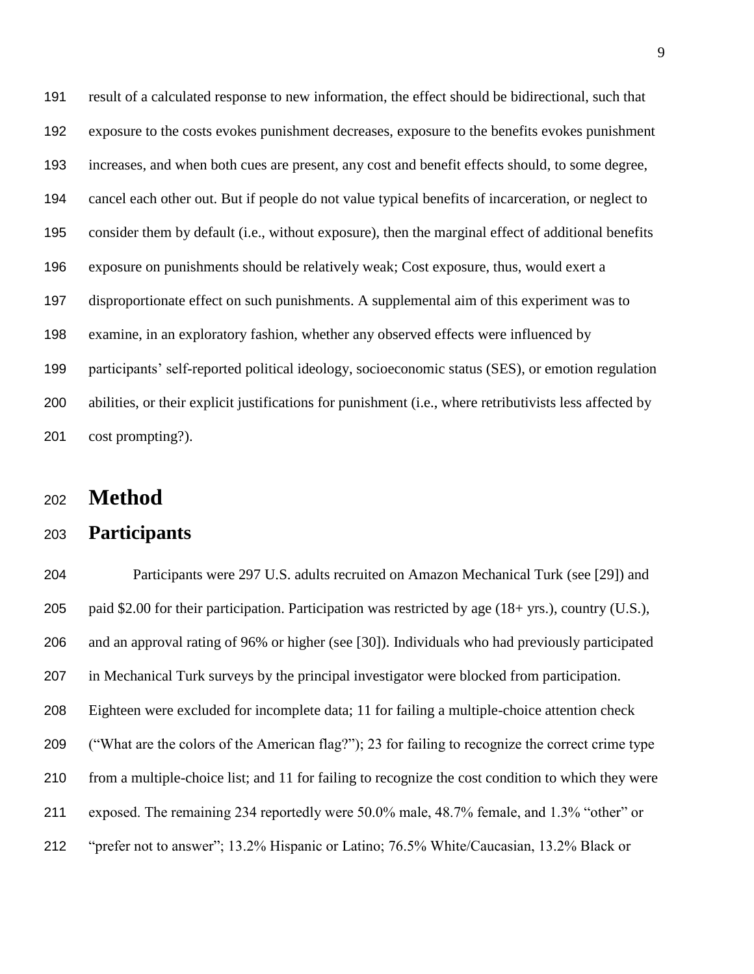result of a calculated response to new information, the effect should be bidirectional, such that exposure to the costs evokes punishment decreases, exposure to the benefits evokes punishment increases, and when both cues are present, any cost and benefit effects should, to some degree, cancel each other out. But if people do not value typical benefits of incarceration, or neglect to consider them by default (i.e., without exposure), then the marginal effect of additional benefits exposure on punishments should be relatively weak; Cost exposure, thus, would exert a disproportionate effect on such punishments. A supplemental aim of this experiment was to examine, in an exploratory fashion, whether any observed effects were influenced by participants' self-reported political ideology, socioeconomic status (SES), or emotion regulation abilities, or their explicit justifications for punishment (i.e., where retributivists less affected by cost prompting?).

# **Method**

#### **Participants**

 Participants were 297 U.S. adults recruited on Amazon Mechanical Turk (see [29]) and paid \$2.00 for their participation. Participation was restricted by age (18+ yrs.), country (U.S.), and an approval rating of 96% or higher (see [30]). Individuals who had previously participated in Mechanical Turk surveys by the principal investigator were blocked from participation. Eighteen were excluded for incomplete data; 11 for failing a multiple-choice attention check ("What are the colors of the American flag?"); 23 for failing to recognize the correct crime type from a multiple-choice list; and 11 for failing to recognize the cost condition to which they were exposed. The remaining 234 reportedly were 50.0% male, 48.7% female, and 1.3% "other" or "prefer not to answer"; 13.2% Hispanic or Latino; 76.5% White/Caucasian, 13.2% Black or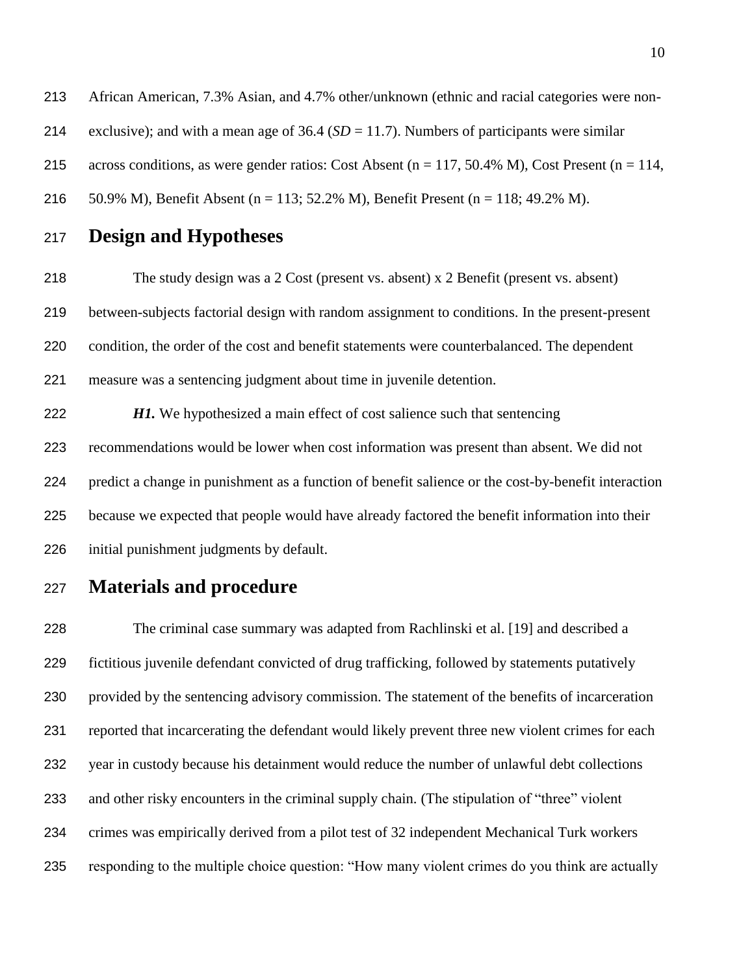African American, 7.3% Asian, and 4.7% other/unknown (ethnic and racial categories were non- exclusive); and with a mean age of 36.4 (*SD* = 11.7). Numbers of participants were similar 215 across conditions, as were gender ratios: Cost Absent (n = 117, 50.4% M), Cost Present (n = 114, 50.9% M), Benefit Absent (n = 113; 52.2% M), Benefit Present (n = 118; 49.2% M).

**Design and Hypotheses**

 The study design was a 2 Cost (present vs. absent) x 2 Benefit (present vs. absent) between-subjects factorial design with random assignment to conditions. In the present-present condition, the order of the cost and benefit statements were counterbalanced. The dependent measure was a sentencing judgment about time in juvenile detention.

*H1*. We hypothesized a main effect of cost salience such that sentencing recommendations would be lower when cost information was present than absent. We did not predict a change in punishment as a function of benefit salience or the cost-by-benefit interaction because we expected that people would have already factored the benefit information into their initial punishment judgments by default.

### **Materials and procedure**

 The criminal case summary was adapted from Rachlinski et al. [19] and described a fictitious juvenile defendant convicted of drug trafficking, followed by statements putatively provided by the sentencing advisory commission. The statement of the benefits of incarceration reported that incarcerating the defendant would likely prevent three new violent crimes for each year in custody because his detainment would reduce the number of unlawful debt collections and other risky encounters in the criminal supply chain. (The stipulation of "three" violent crimes was empirically derived from a pilot test of 32 independent Mechanical Turk workers responding to the multiple choice question: "How many violent crimes do you think are actually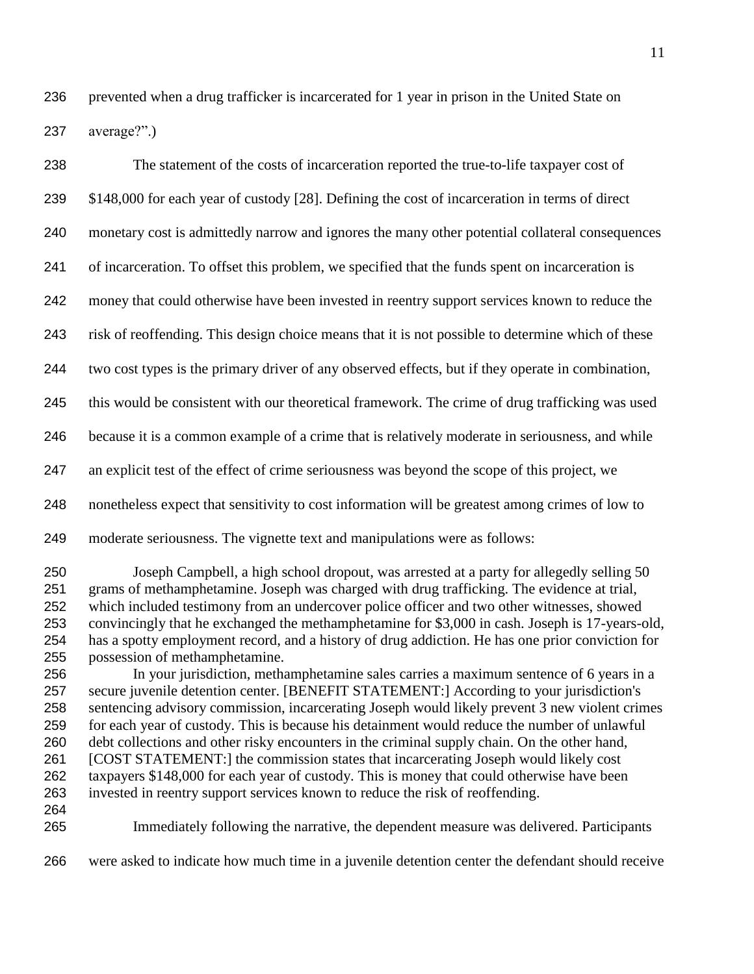prevented when a drug trafficker is incarcerated for 1 year in prison in the United State on average?".)

| 238                                                                                            | The statement of the costs of incarceration reported the true-to-life taxpayer cost of                                                                                                                                                                                                                                                                                                                                                                                                                                                                                                                                                                                                                                                                                                                                                                                                                                                                                                                                                                                                                                                                                                                                                                                                     |
|------------------------------------------------------------------------------------------------|--------------------------------------------------------------------------------------------------------------------------------------------------------------------------------------------------------------------------------------------------------------------------------------------------------------------------------------------------------------------------------------------------------------------------------------------------------------------------------------------------------------------------------------------------------------------------------------------------------------------------------------------------------------------------------------------------------------------------------------------------------------------------------------------------------------------------------------------------------------------------------------------------------------------------------------------------------------------------------------------------------------------------------------------------------------------------------------------------------------------------------------------------------------------------------------------------------------------------------------------------------------------------------------------|
| 239                                                                                            | \$148,000 for each year of custody [28]. Defining the cost of incarceration in terms of direct                                                                                                                                                                                                                                                                                                                                                                                                                                                                                                                                                                                                                                                                                                                                                                                                                                                                                                                                                                                                                                                                                                                                                                                             |
| 240                                                                                            | monetary cost is admittedly narrow and ignores the many other potential collateral consequences                                                                                                                                                                                                                                                                                                                                                                                                                                                                                                                                                                                                                                                                                                                                                                                                                                                                                                                                                                                                                                                                                                                                                                                            |
| 241                                                                                            | of incarceration. To offset this problem, we specified that the funds spent on incarceration is                                                                                                                                                                                                                                                                                                                                                                                                                                                                                                                                                                                                                                                                                                                                                                                                                                                                                                                                                                                                                                                                                                                                                                                            |
| 242                                                                                            | money that could otherwise have been invested in reentry support services known to reduce the                                                                                                                                                                                                                                                                                                                                                                                                                                                                                                                                                                                                                                                                                                                                                                                                                                                                                                                                                                                                                                                                                                                                                                                              |
| 243                                                                                            | risk of reoffending. This design choice means that it is not possible to determine which of these                                                                                                                                                                                                                                                                                                                                                                                                                                                                                                                                                                                                                                                                                                                                                                                                                                                                                                                                                                                                                                                                                                                                                                                          |
| 244                                                                                            | two cost types is the primary driver of any observed effects, but if they operate in combination,                                                                                                                                                                                                                                                                                                                                                                                                                                                                                                                                                                                                                                                                                                                                                                                                                                                                                                                                                                                                                                                                                                                                                                                          |
| 245                                                                                            | this would be consistent with our theoretical framework. The crime of drug trafficking was used                                                                                                                                                                                                                                                                                                                                                                                                                                                                                                                                                                                                                                                                                                                                                                                                                                                                                                                                                                                                                                                                                                                                                                                            |
| 246                                                                                            | because it is a common example of a crime that is relatively moderate in seriousness, and while                                                                                                                                                                                                                                                                                                                                                                                                                                                                                                                                                                                                                                                                                                                                                                                                                                                                                                                                                                                                                                                                                                                                                                                            |
| 247                                                                                            | an explicit test of the effect of crime seriousness was beyond the scope of this project, we                                                                                                                                                                                                                                                                                                                                                                                                                                                                                                                                                                                                                                                                                                                                                                                                                                                                                                                                                                                                                                                                                                                                                                                               |
| 248                                                                                            | nonetheless expect that sensitivity to cost information will be greatest among crimes of low to                                                                                                                                                                                                                                                                                                                                                                                                                                                                                                                                                                                                                                                                                                                                                                                                                                                                                                                                                                                                                                                                                                                                                                                            |
| 249                                                                                            | moderate seriousness. The vignette text and manipulations were as follows:                                                                                                                                                                                                                                                                                                                                                                                                                                                                                                                                                                                                                                                                                                                                                                                                                                                                                                                                                                                                                                                                                                                                                                                                                 |
| 250<br>251<br>252<br>253<br>254<br>255<br>256<br>257<br>258<br>259<br>260<br>261<br>262<br>263 | Joseph Campbell, a high school dropout, was arrested at a party for allegedly selling 50<br>grams of methamphetamine. Joseph was charged with drug trafficking. The evidence at trial,<br>which included testimony from an undercover police officer and two other witnesses, showed<br>convincingly that he exchanged the methamphetamine for \$3,000 in cash. Joseph is 17-years-old,<br>has a spotty employment record, and a history of drug addiction. He has one prior conviction for<br>possession of methamphetamine.<br>In your jurisdiction, methamphetamine sales carries a maximum sentence of 6 years in a<br>secure juvenile detention center. [BENEFIT STATEMENT:] According to your jurisdiction's<br>sentencing advisory commission, incarcerating Joseph would likely prevent 3 new violent crimes<br>for each year of custody. This is because his detainment would reduce the number of unlawful<br>debt collections and other risky encounters in the criminal supply chain. On the other hand,<br>[COST STATEMENT:] the commission states that incarcerating Joseph would likely cost<br>taxpayers \$148,000 for each year of custody. This is money that could otherwise have been<br>invested in reentry support services known to reduce the risk of reoffending. |
| 264<br>265                                                                                     | Immediately following the narrative, the dependent measure was delivered. Participants                                                                                                                                                                                                                                                                                                                                                                                                                                                                                                                                                                                                                                                                                                                                                                                                                                                                                                                                                                                                                                                                                                                                                                                                     |

were asked to indicate how much time in a juvenile detention center the defendant should receive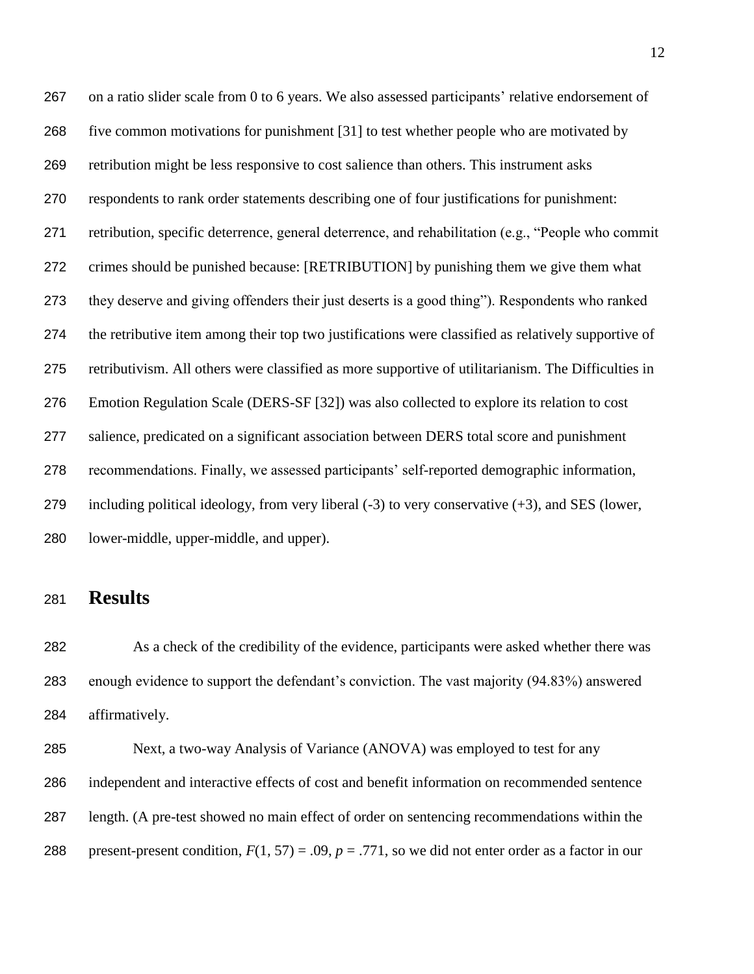on a ratio slider scale from 0 to 6 years. We also assessed participants' relative endorsement of five common motivations for punishment [31] to test whether people who are motivated by retribution might be less responsive to cost salience than others. This instrument asks respondents to rank order statements describing one of four justifications for punishment: retribution, specific deterrence, general deterrence, and rehabilitation (e.g., "People who commit crimes should be punished because: [RETRIBUTION] by punishing them we give them what they deserve and giving offenders their just deserts is a good thing"). Respondents who ranked the retributive item among their top two justifications were classified as relatively supportive of retributivism. All others were classified as more supportive of utilitarianism. The Difficulties in Emotion Regulation Scale (DERS-SF [32]) was also collected to explore its relation to cost salience, predicated on a significant association between DERS total score and punishment recommendations. Finally, we assessed participants' self-reported demographic information, including political ideology, from very liberal (-3) to very conservative (+3), and SES (lower, lower-middle, upper-middle, and upper).

# **Results**

 As a check of the credibility of the evidence, participants were asked whether there was enough evidence to support the defendant's conviction. The vast majority (94.83%) answered affirmatively.

 Next, a two-way Analysis of Variance (ANOVA) was employed to test for any independent and interactive effects of cost and benefit information on recommended sentence length. (A pre-test showed no main effect of order on sentencing recommendations within the 288 present-present condition,  $F(1, 57) = .09$ ,  $p = .771$ , so we did not enter order as a factor in our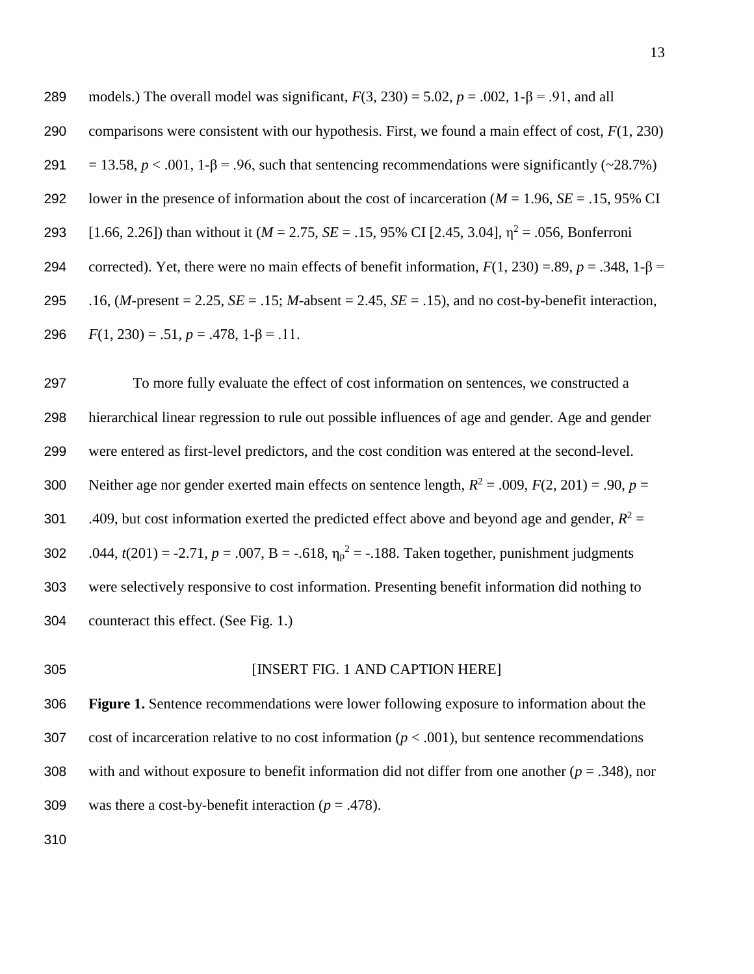289 models.) The overall model was significant,  $F(3, 230) = 5.02$ ,  $p = .002$ ,  $1-\beta = .91$ , and all 290 comparisons were consistent with our hypothesis. First, we found a main effect of cost, *F*(1, 230) 291 = 13.58,  $p < .001$ , 1- $\beta = .96$ , such that sentencing recommendations were significantly (~28.7%) 292 lower in the presence of information about the cost of incarceration (*M* = 1.96, *SE* = .15, 95% CI 293 [1.66, 2.26]) than without it ( $M = 2.75$ ,  $SE = .15$ , 95% CI [2.45, 3.04],  $\eta^2 = .056$ , Bonferroni 294 corrected). Yet, there were no main effects of benefit information,  $F(1, 230) = .89$ ,  $p = .348$ ,  $1 - B =$ 295 .16, (*M-*present = 2.25, *SE* = .15; *M*-absent = 2.45, *SE* = .15), and no cost-by-benefit interaction, 296  $F(1, 230) = .51, p = .478, 1-\beta = .11.$ 

 To more fully evaluate the effect of cost information on sentences, we constructed a hierarchical linear regression to rule out possible influences of age and gender. Age and gender were entered as first-level predictors, and the cost condition was entered at the second-level. 300 Neither age nor gender exerted main effects on sentence length,  $R^2 = .009$ ,  $F(2, 201) = .90$ ,  $p =$ 301 .409, but cost information exerted the predicted effect above and beyond age and gender,  $R^2 =$ 302 .044,  $t(201) = -2.71$ ,  $p = .007$ ,  $B = -.618$ ,  $\eta_p^2 = -.188$ . Taken together, punishment judgments were selectively responsive to cost information. Presenting benefit information did nothing to counteract this effect. (See Fig. 1.)

#### 305 [INSERT FIG. 1 AND CAPTION HERE]

306 **Figure 1.** Sentence recommendations were lower following exposure to information about the 307 cost of incarceration relative to no cost information ( $p < .001$ ), but sentence recommendations 308 with and without exposure to benefit information did not differ from one another (*p* = .348), nor 309 was there a cost-by-benefit interaction  $(p = .478)$ .

310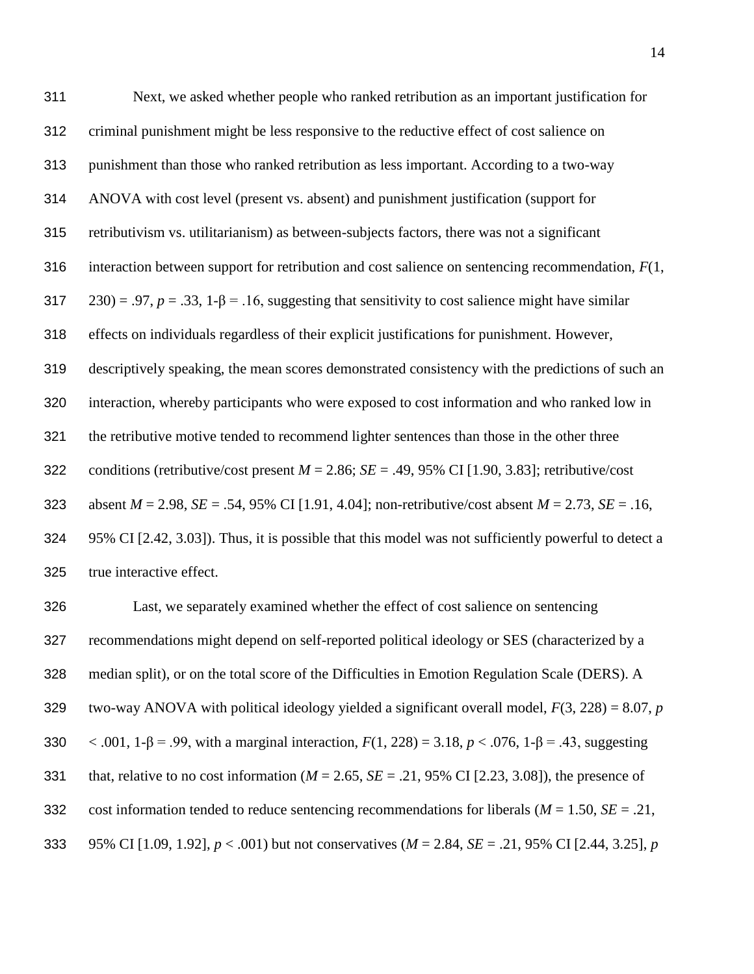| 311 | Next, we asked whether people who ranked retribution as an important justification for                        |
|-----|---------------------------------------------------------------------------------------------------------------|
| 312 | criminal punishment might be less responsive to the reductive effect of cost salience on                      |
| 313 | punishment than those who ranked retribution as less important. According to a two-way                        |
| 314 | ANOVA with cost level (present vs. absent) and punishment justification (support for                          |
| 315 | retributivism vs. utilitarianism) as between-subjects factors, there was not a significant                    |
| 316 | interaction between support for retribution and cost salience on sentencing recommendation, $F(1, 1)$         |
| 317 | $(230) = .97$ , $p = .33$ , $1-\beta = .16$ , suggesting that sensitivity to cost salience might have similar |
| 318 | effects on individuals regardless of their explicit justifications for punishment. However,                   |
| 319 | descriptively speaking, the mean scores demonstrated consistency with the predictions of such an              |
| 320 | interaction, whereby participants who were exposed to cost information and who ranked low in                  |
| 321 | the retributive motive tended to recommend lighter sentences than those in the other three                    |
| 322 | conditions (retributive/cost present $M = 2.86$ ; $SE = .49$ , 95% CI [1.90, 3.83]; retributive/cost          |
| 323 | absent $M = 2.98$ , $SE = .54$ , 95% CI [1.91, 4.04]; non-retributive/cost absent $M = 2.73$ , $SE = .16$ ,   |
| 324 | 95% CI [2.42, 3.03]). Thus, it is possible that this model was not sufficiently powerful to detect a          |
| 325 | true interactive effect.                                                                                      |

 Last, we separately examined whether the effect of cost salience on sentencing recommendations might depend on self-reported political ideology or SES (characterized by a median split), or on the total score of the Difficulties in Emotion Regulation Scale (DERS). A two-way ANOVA with political ideology yielded a significant overall model, *F*(3, 228) = 8.07, *p* < .001, 1-β = .99, with a marginal interaction, *F*(1, 228) = 3.18, *p* < .076, 1-β = .43, suggesting 331 that, relative to no cost information ( $M = 2.65$ ,  $SE = .21$ , 95% CI [2.23, 3.08]), the presence of cost information tended to reduce sentencing recommendations for liberals (*M* = 1.50, *SE* = .21, 95% CI [1.09, 1.92], *p* < .001) but not conservatives (*M* = 2.84, *SE* = .21, 95% CI [2.44, 3.25], *p*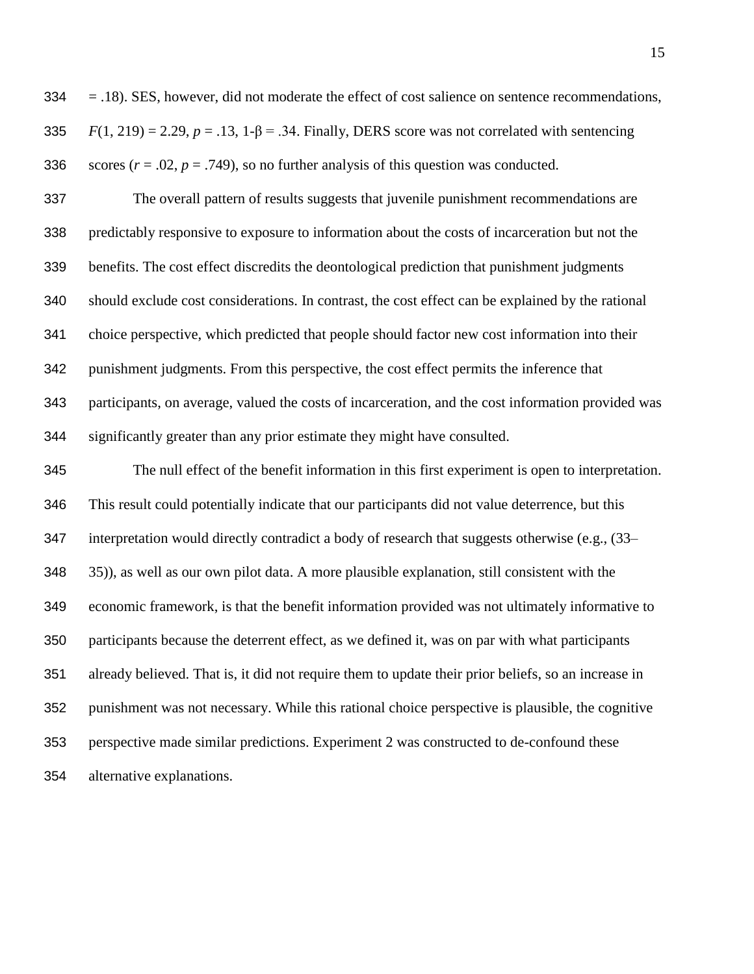$334 = 0.18$ ). SES, however, did not moderate the effect of cost salience on sentence recommendations, 335  $F(1, 219) = 2.29$ ,  $p = .13$ ,  $1-\beta = .34$ . Finally, DERS score was not correlated with sentencing 336 scores  $(r = .02, p = .749)$ , so no further analysis of this question was conducted.

 The overall pattern of results suggests that juvenile punishment recommendations are predictably responsive to exposure to information about the costs of incarceration but not the benefits. The cost effect discredits the deontological prediction that punishment judgments should exclude cost considerations. In contrast, the cost effect can be explained by the rational choice perspective, which predicted that people should factor new cost information into their punishment judgments. From this perspective, the cost effect permits the inference that participants, on average, valued the costs of incarceration, and the cost information provided was significantly greater than any prior estimate they might have consulted.

 The null effect of the benefit information in this first experiment is open to interpretation. This result could potentially indicate that our participants did not value deterrence, but this interpretation would directly contradict a body of research that suggests otherwise (e.g., (33– 35)), as well as our own pilot data. A more plausible explanation, still consistent with the economic framework, is that the benefit information provided was not ultimately informative to participants because the deterrent effect, as we defined it, was on par with what participants already believed. That is, it did not require them to update their prior beliefs, so an increase in punishment was not necessary. While this rational choice perspective is plausible, the cognitive perspective made similar predictions. Experiment 2 was constructed to de-confound these alternative explanations.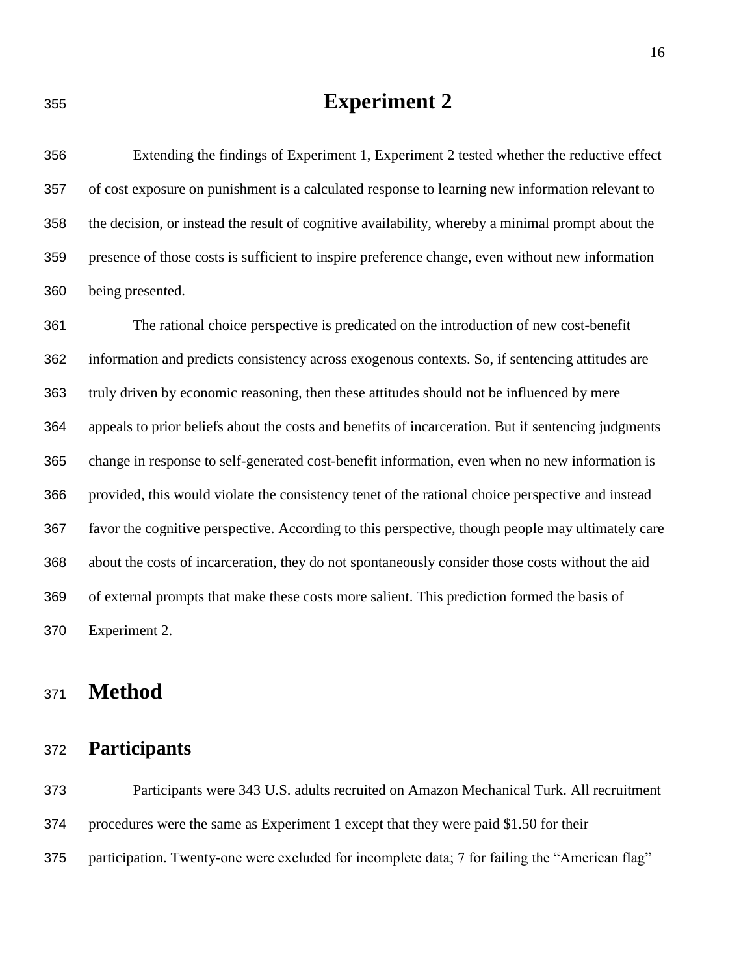# **Experiment 2**

 Extending the findings of Experiment 1, Experiment 2 tested whether the reductive effect of cost exposure on punishment is a calculated response to learning new information relevant to the decision, or instead the result of cognitive availability, whereby a minimal prompt about the presence of those costs is sufficient to inspire preference change, even without new information being presented.

 The rational choice perspective is predicated on the introduction of new cost-benefit information and predicts consistency across exogenous contexts. So, if sentencing attitudes are truly driven by economic reasoning, then these attitudes should not be influenced by mere appeals to prior beliefs about the costs and benefits of incarceration. But if sentencing judgments change in response to self-generated cost-benefit information, even when no new information is provided, this would violate the consistency tenet of the rational choice perspective and instead favor the cognitive perspective. According to this perspective, though people may ultimately care about the costs of incarceration, they do not spontaneously consider those costs without the aid of external prompts that make these costs more salient. This prediction formed the basis of Experiment 2.

# **Method**

#### **Participants**

 Participants were 343 U.S. adults recruited on Amazon Mechanical Turk. All recruitment procedures were the same as Experiment 1 except that they were paid \$1.50 for their participation. Twenty-one were excluded for incomplete data; 7 for failing the "American flag"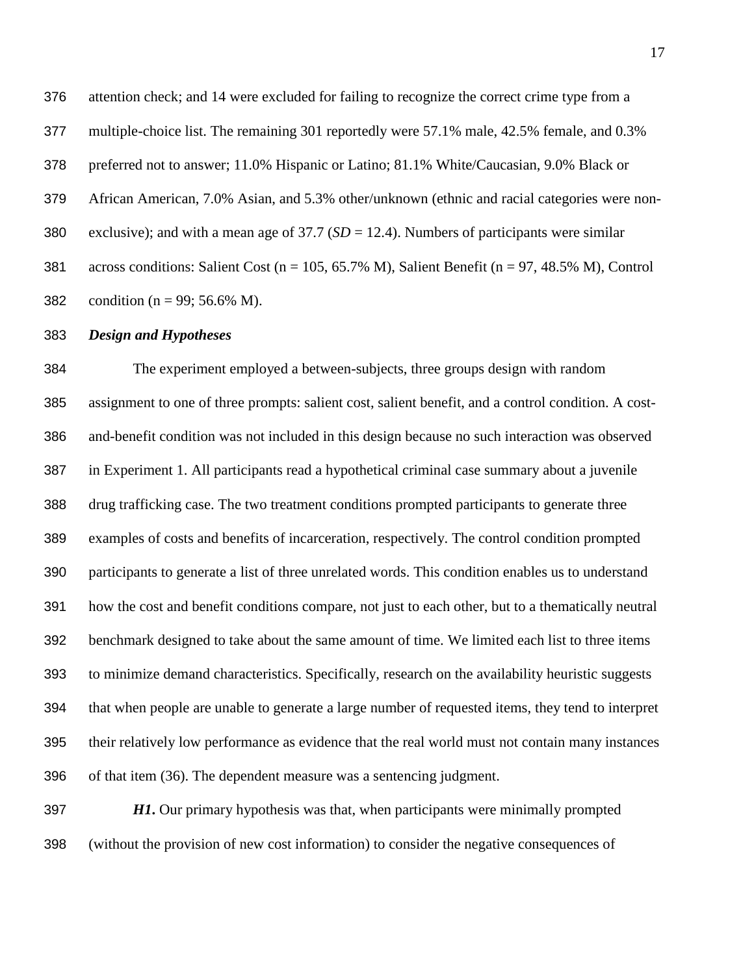attention check; and 14 were excluded for failing to recognize the correct crime type from a multiple-choice list. The remaining 301 reportedly were 57.1% male, 42.5% female, and 0.3% preferred not to answer; 11.0% Hispanic or Latino; 81.1% White/Caucasian, 9.0% Black or African American, 7.0% Asian, and 5.3% other/unknown (ethnic and racial categories were non- exclusive); and with a mean age of 37.7 (*SD* = 12.4). Numbers of participants were similar across conditions: Salient Cost (n = 105, 65.7% M), Salient Benefit (n = 97, 48.5% M), Control 382 condition ( $n = 99$ ; 56.6% M).

*Design and Hypotheses*

 The experiment employed a between-subjects, three groups design with random assignment to one of three prompts: salient cost, salient benefit, and a control condition. A cost- and-benefit condition was not included in this design because no such interaction was observed in Experiment 1. All participants read a hypothetical criminal case summary about a juvenile drug trafficking case. The two treatment conditions prompted participants to generate three examples of costs and benefits of incarceration, respectively. The control condition prompted participants to generate a list of three unrelated words. This condition enables us to understand how the cost and benefit conditions compare, not just to each other, but to a thematically neutral benchmark designed to take about the same amount of time. We limited each list to three items to minimize demand characteristics. Specifically, research on the availability heuristic suggests that when people are unable to generate a large number of requested items, they tend to interpret their relatively low performance as evidence that the real world must not contain many instances of that item (36). The dependent measure was a sentencing judgment.

 *H1***.** Our primary hypothesis was that, when participants were minimally prompted (without the provision of new cost information) to consider the negative consequences of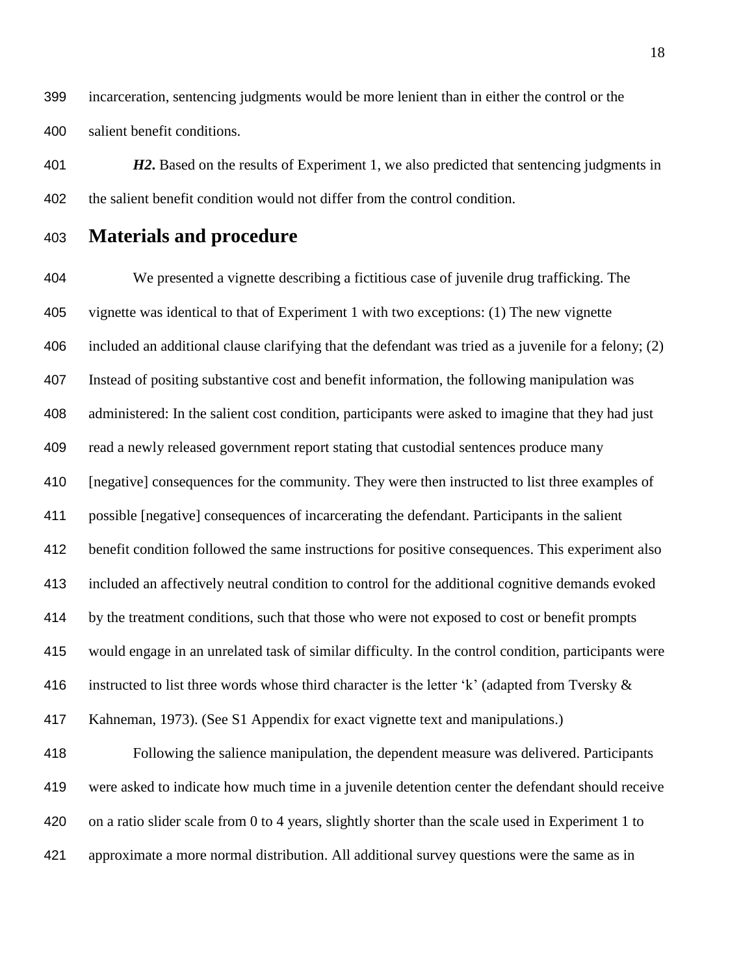incarceration, sentencing judgments would be more lenient than in either the control or the salient benefit conditions.

 *H2***.** Based on the results of Experiment 1, we also predicted that sentencing judgments in the salient benefit condition would not differ from the control condition.

#### **Materials and procedure**

 We presented a vignette describing a fictitious case of juvenile drug trafficking. The vignette was identical to that of Experiment 1 with two exceptions: (1) The new vignette included an additional clause clarifying that the defendant was tried as a juvenile for a felony; (2) Instead of positing substantive cost and benefit information, the following manipulation was administered: In the salient cost condition, participants were asked to imagine that they had just read a newly released government report stating that custodial sentences produce many [negative] consequences for the community. They were then instructed to list three examples of possible [negative] consequences of incarcerating the defendant. Participants in the salient benefit condition followed the same instructions for positive consequences. This experiment also included an affectively neutral condition to control for the additional cognitive demands evoked by the treatment conditions, such that those who were not exposed to cost or benefit prompts would engage in an unrelated task of similar difficulty. In the control condition, participants were 416 instructed to list three words whose third character is the letter 'k' (adapted from Tversky  $\&$  Kahneman, 1973). (See S1 Appendix for exact vignette text and manipulations.) Following the salience manipulation, the dependent measure was delivered. Participants were asked to indicate how much time in a juvenile detention center the defendant should receive on a ratio slider scale from 0 to 4 years, slightly shorter than the scale used in Experiment 1 to approximate a more normal distribution. All additional survey questions were the same as in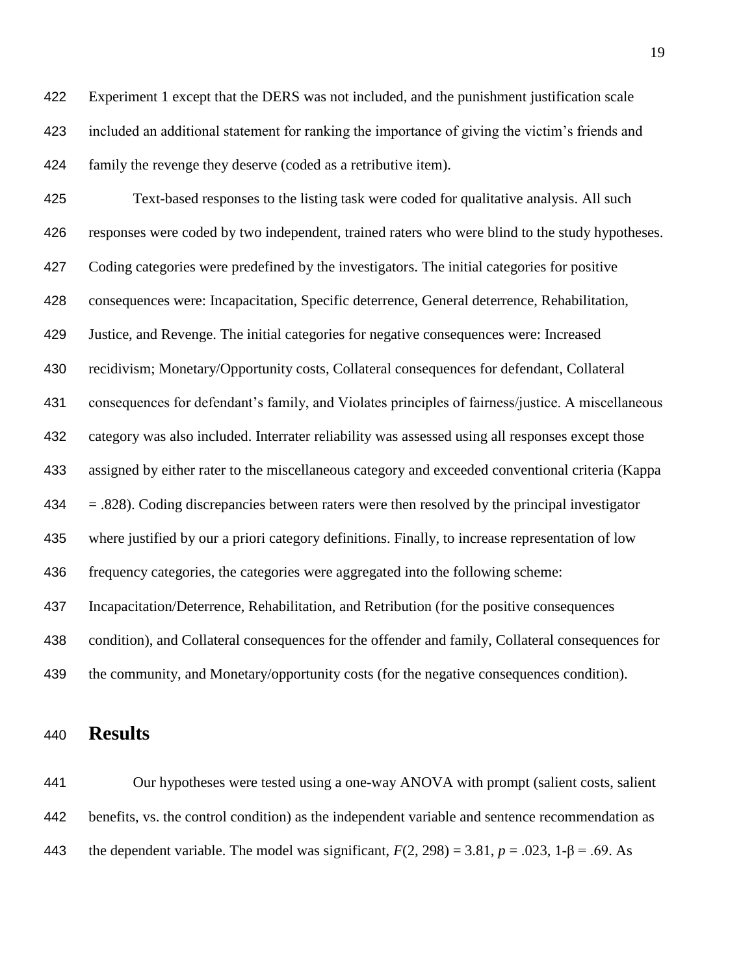Experiment 1 except that the DERS was not included, and the punishment justification scale included an additional statement for ranking the importance of giving the victim's friends and family the revenge they deserve (coded as a retributive item).

 Text-based responses to the listing task were coded for qualitative analysis. All such responses were coded by two independent, trained raters who were blind to the study hypotheses. Coding categories were predefined by the investigators. The initial categories for positive consequences were: Incapacitation, Specific deterrence, General deterrence, Rehabilitation, Justice, and Revenge. The initial categories for negative consequences were: Increased recidivism; Monetary/Opportunity costs, Collateral consequences for defendant, Collateral consequences for defendant's family, and Violates principles of fairness/justice. A miscellaneous category was also included. Interrater reliability was assessed using all responses except those assigned by either rater to the miscellaneous category and exceeded conventional criteria (Kappa  $434 = 0.828$ . Coding discrepancies between raters were then resolved by the principal investigator where justified by our a priori category definitions. Finally, to increase representation of low frequency categories, the categories were aggregated into the following scheme: Incapacitation/Deterrence, Rehabilitation, and Retribution (for the positive consequences condition), and Collateral consequences for the offender and family, Collateral consequences for the community, and Monetary/opportunity costs (for the negative consequences condition).

### **Results**

 Our hypotheses were tested using a one-way ANOVA with prompt (salient costs, salient benefits, vs. the control condition) as the independent variable and sentence recommendation as 443 the dependent variable. The model was significant,  $F(2, 298) = 3.81$ ,  $p = .023$ ,  $1-\beta = .69$ . As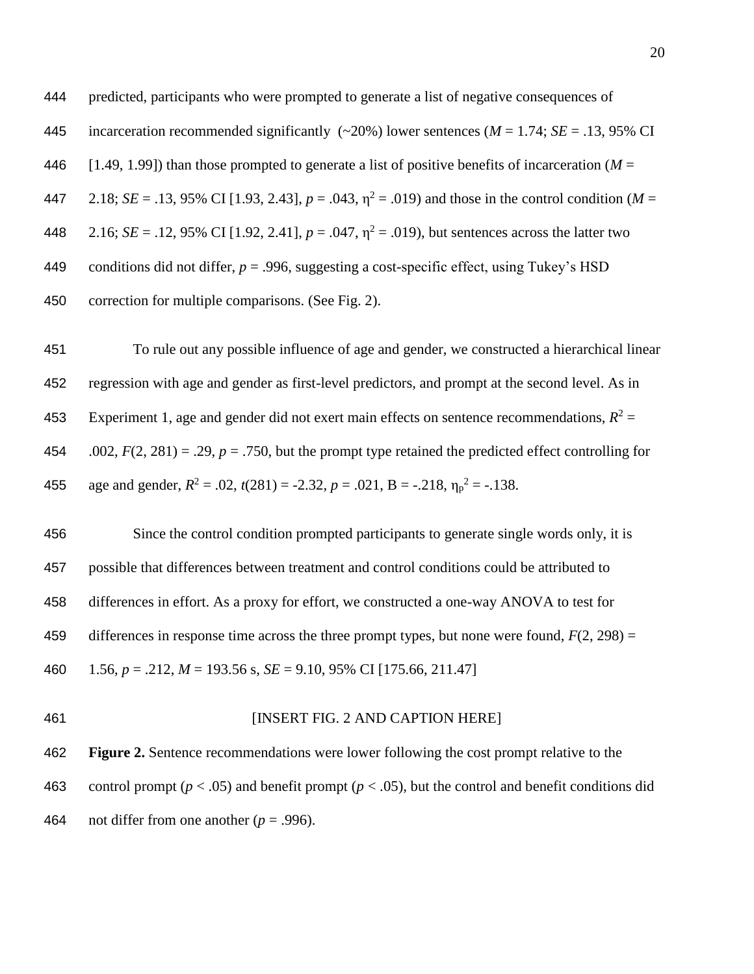predicted, participants who were prompted to generate a list of negative consequences of incarceration recommended significantly (~20%) lower sentences (*M* = 1.74; *SE* = .13, 95% CI 446 [1.49, 1.99]) than those prompted to generate a list of positive benefits of incarceration ( $M =$ 447 2.18; *SE* = .13, 95% CI [1.93, 2.43],  $p = .043$ ,  $\eta^2 = .019$ ) and those in the control condition (*M* = 448  $2.16$ ; *SE* = .12, 95% CI [1.92, 2.41],  $p = .047$ ,  $\eta^2 = .019$ ), but sentences across the latter two 449 conditions did not differ,  $p = .996$ , suggesting a cost-specific effect, using Tukey's HSD correction for multiple comparisons. (See Fig. 2).

 To rule out any possible influence of age and gender, we constructed a hierarchical linear regression with age and gender as first-level predictors, and prompt at the second level. As in 453 Experiment 1, age and gender did not exert main effects on sentence recommendations,  $R^2 =$ 454 .002,  $F(2, 281) = .29$ ,  $p = .750$ , but the prompt type retained the predicted effect controlling for 455 age and gender,  $R^2 = .02$ ,  $t(281) = -2.32$ ,  $p = .021$ ,  $B = -.218$ ,  $\eta_p^2 = -.138$ .

 Since the control condition prompted participants to generate single words only, it is possible that differences between treatment and control conditions could be attributed to differences in effort. As a proxy for effort, we constructed a one-way ANOVA to test for differences in response time across the three prompt types, but none were found, *F*(2, 298) = 1.56, *p* = .212, *M* = 193.56 s, *SE* = 9.10, 95% CI [175.66, 211.47]

**INSERT FIG. 2 AND CAPTION HERE** 

 **Figure 2.** Sentence recommendations were lower following the cost prompt relative to the control prompt (*p* < .05) and benefit prompt (*p* < .05), but the control and benefit conditions did 464 not differ from one another  $(p = .996)$ .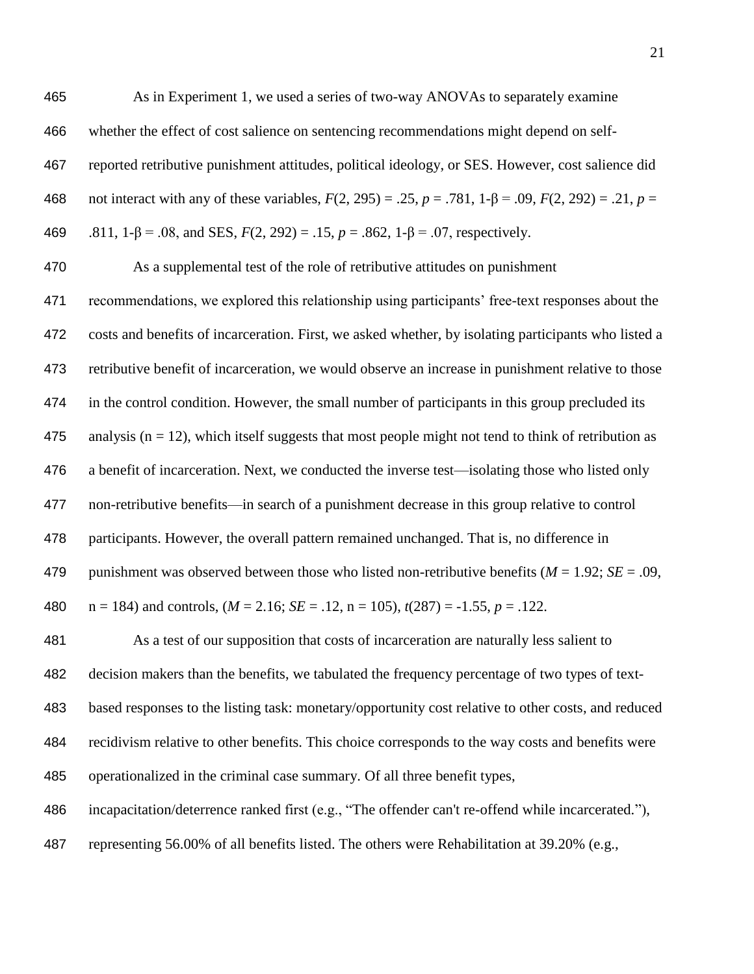As in Experiment 1, we used a series of two-way ANOVAs to separately examine whether the effect of cost salience on sentencing recommendations might depend on self- reported retributive punishment attitudes, political ideology, or SES. However, cost salience did not interact with any of these variables, *F*(2, 295) = .25, *p* = .781, 1-β = .09, *F*(2, 292) = .21, *p* =

.811, 1-β = .08, and SES, *F*(2, 292) = .15, *p* = .862, 1-β = .07, respectively.

As a supplemental test of the role of retributive attitudes on punishment

 recommendations, we explored this relationship using participants' free-text responses about the costs and benefits of incarceration. First, we asked whether, by isolating participants who listed a retributive benefit of incarceration, we would observe an increase in punishment relative to those in the control condition. However, the small number of participants in this group precluded its 475 analysis ( $n = 12$ ), which itself suggests that most people might not tend to think of retribution as a benefit of incarceration. Next, we conducted the inverse test—isolating those who listed only non-retributive benefits—in search of a punishment decrease in this group relative to control participants. However, the overall pattern remained unchanged. That is, no difference in punishment was observed between those who listed non-retributive benefits (*M* = 1.92; *SE* = .09,  $n = 184$ ) and controls,  $(M = 2.16; SE = .12, n = 105)$ ,  $t(287) = -1.55, p = .122$ .

 As a test of our supposition that costs of incarceration are naturally less salient to decision makers than the benefits, we tabulated the frequency percentage of two types of text- based responses to the listing task: monetary/opportunity cost relative to other costs, and reduced recidivism relative to other benefits. This choice corresponds to the way costs and benefits were operationalized in the criminal case summary. Of all three benefit types, incapacitation/deterrence ranked first (e.g., "The offender can't re-offend while incarcerated."),

representing 56.00% of all benefits listed. The others were Rehabilitation at 39.20% (e.g.,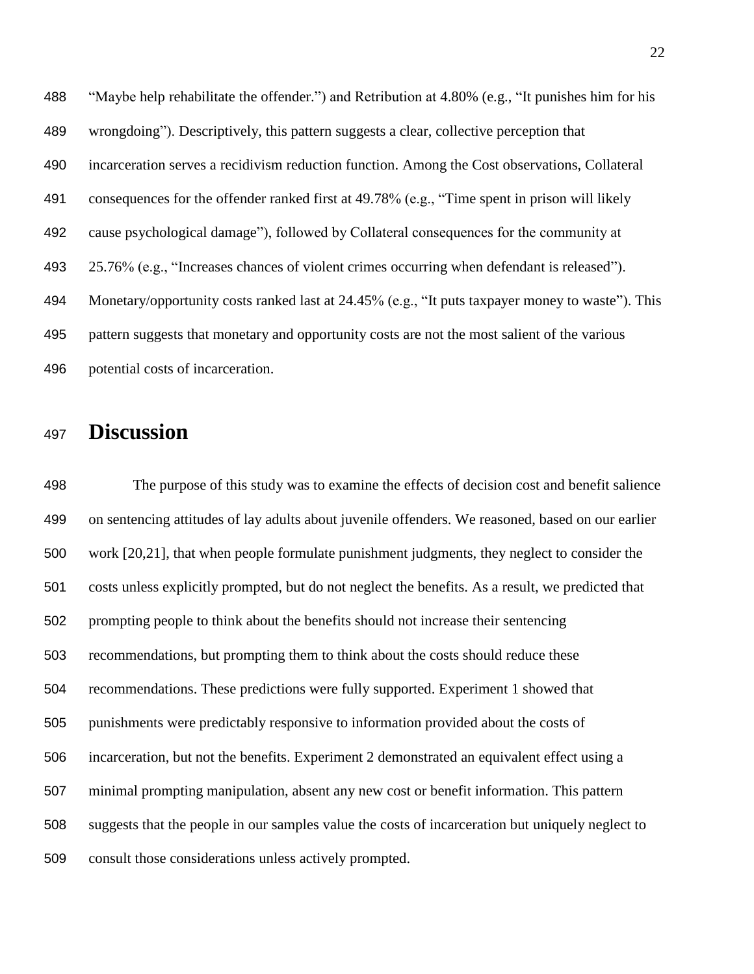"Maybe help rehabilitate the offender.") and Retribution at 4.80% (e.g., "It punishes him for his wrongdoing"). Descriptively, this pattern suggests a clear, collective perception that incarceration serves a recidivism reduction function. Among the Cost observations, Collateral consequences for the offender ranked first at 49.78% (e.g., "Time spent in prison will likely cause psychological damage"), followed by Collateral consequences for the community at 25.76% (e.g., "Increases chances of violent crimes occurring when defendant is released"). Monetary/opportunity costs ranked last at 24.45% (e.g., "It puts taxpayer money to waste"). This pattern suggests that monetary and opportunity costs are not the most salient of the various potential costs of incarceration.

# **Discussion**

 The purpose of this study was to examine the effects of decision cost and benefit salience on sentencing attitudes of lay adults about juvenile offenders. We reasoned, based on our earlier work [20,21], that when people formulate punishment judgments, they neglect to consider the costs unless explicitly prompted, but do not neglect the benefits. As a result, we predicted that prompting people to think about the benefits should not increase their sentencing recommendations, but prompting them to think about the costs should reduce these recommendations. These predictions were fully supported. Experiment 1 showed that punishments were predictably responsive to information provided about the costs of incarceration, but not the benefits. Experiment 2 demonstrated an equivalent effect using a minimal prompting manipulation, absent any new cost or benefit information. This pattern suggests that the people in our samples value the costs of incarceration but uniquely neglect to consult those considerations unless actively prompted.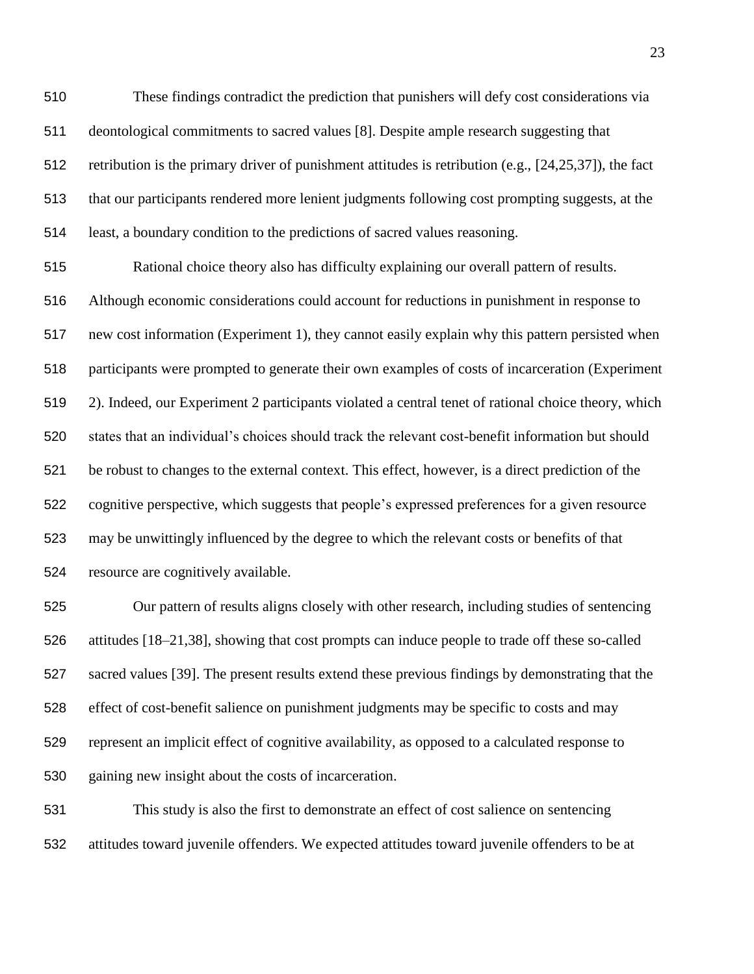These findings contradict the prediction that punishers will defy cost considerations via deontological commitments to sacred values [8]. Despite ample research suggesting that retribution is the primary driver of punishment attitudes is retribution (e.g., [24,25,37]), the fact that our participants rendered more lenient judgments following cost prompting suggests, at the least, a boundary condition to the predictions of sacred values reasoning.

 Rational choice theory also has difficulty explaining our overall pattern of results. Although economic considerations could account for reductions in punishment in response to new cost information (Experiment 1), they cannot easily explain why this pattern persisted when participants were prompted to generate their own examples of costs of incarceration (Experiment 2). Indeed, our Experiment 2 participants violated a central tenet of rational choice theory, which states that an individual's choices should track the relevant cost-benefit information but should be robust to changes to the external context. This effect, however, is a direct prediction of the cognitive perspective, which suggests that people's expressed preferences for a given resource may be unwittingly influenced by the degree to which the relevant costs or benefits of that resource are cognitively available.

 Our pattern of results aligns closely with other research, including studies of sentencing attitudes [18–21,38], showing that cost prompts can induce people to trade off these so-called sacred values [39]. The present results extend these previous findings by demonstrating that the effect of cost-benefit salience on punishment judgments may be specific to costs and may represent an implicit effect of cognitive availability, as opposed to a calculated response to gaining new insight about the costs of incarceration.

 This study is also the first to demonstrate an effect of cost salience on sentencing attitudes toward juvenile offenders. We expected attitudes toward juvenile offenders to be at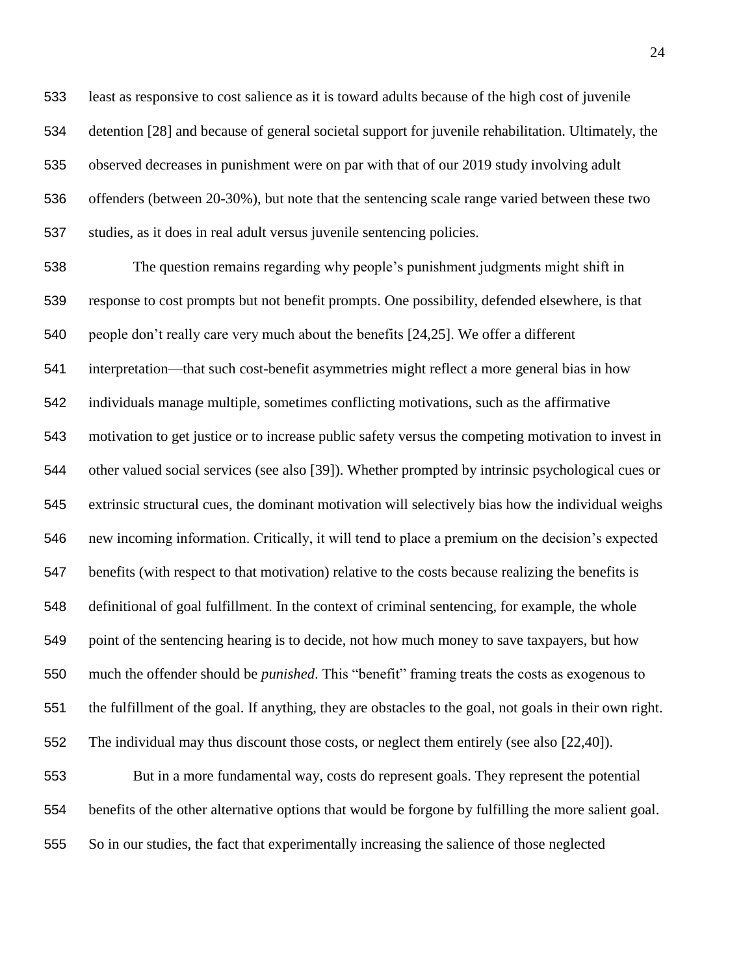least as responsive to cost salience as it is toward adults because of the high cost of juvenile detention [28] and because of general societal support for juvenile rehabilitation. Ultimately, the observed decreases in punishment were on par with that of our 2019 study involving adult offenders (between 20-30%), but note that the sentencing scale range varied between these two studies, as it does in real adult versus juvenile sentencing policies.

 The question remains regarding why people's punishment judgments might shift in response to cost prompts but not benefit prompts. One possibility, defended elsewhere, is that people don't really care very much about the benefits [24,25]. We offer a different interpretation—that such cost-benefit asymmetries might reflect a more general bias in how individuals manage multiple, sometimes conflicting motivations, such as the affirmative motivation to get justice or to increase public safety versus the competing motivation to invest in other valued social services (see also [39]). Whether prompted by intrinsic psychological cues or extrinsic structural cues, the dominant motivation will selectively bias how the individual weighs new incoming information. Critically, it will tend to place a premium on the decision's expected benefits (with respect to that motivation) relative to the costs because realizing the benefits is definitional of goal fulfillment. In the context of criminal sentencing, for example, the whole point of the sentencing hearing is to decide, not how much money to save taxpayers, but how much the offender should be *punished*. This "benefit" framing treats the costs as exogenous to the fulfillment of the goal. If anything, they are obstacles to the goal, not goals in their own right. The individual may thus discount those costs, or neglect them entirely (see also [22,40]).

 But in a more fundamental way, costs do represent goals. They represent the potential benefits of the other alternative options that would be forgone by fulfilling the more salient goal. So in our studies, the fact that experimentally increasing the salience of those neglected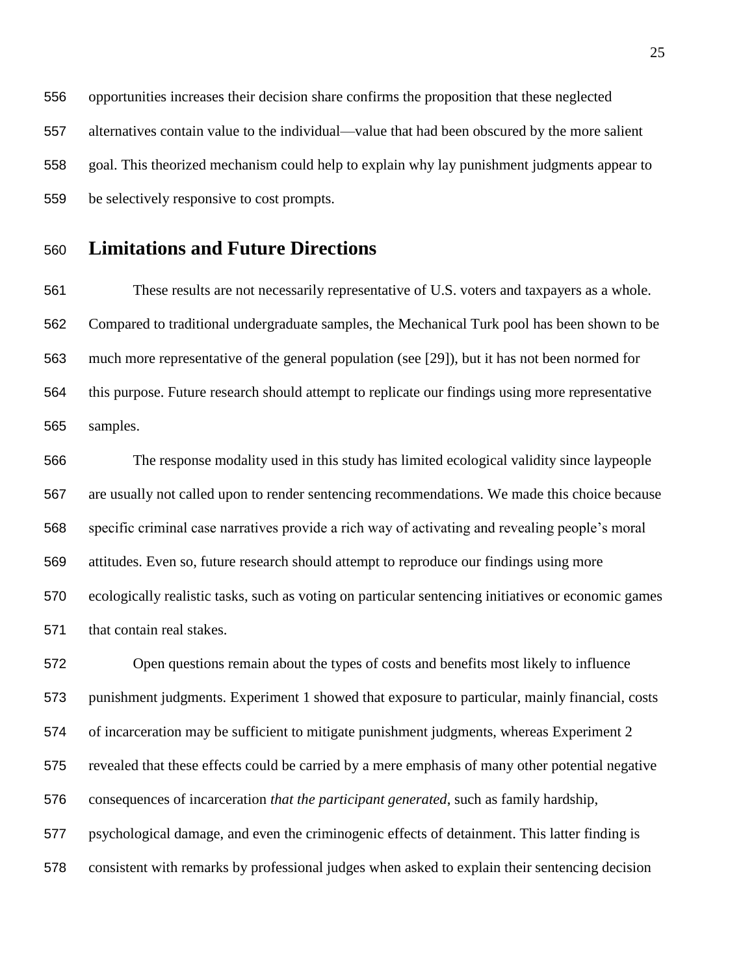opportunities increases their decision share confirms the proposition that these neglected alternatives contain value to the individual—value that had been obscured by the more salient goal. This theorized mechanism could help to explain why lay punishment judgments appear to be selectively responsive to cost prompts.

#### **Limitations and Future Directions**

 These results are not necessarily representative of U.S. voters and taxpayers as a whole. Compared to traditional undergraduate samples, the Mechanical Turk pool has been shown to be much more representative of the general population (see [29]), but it has not been normed for this purpose. Future research should attempt to replicate our findings using more representative samples.

 The response modality used in this study has limited ecological validity since laypeople are usually not called upon to render sentencing recommendations. We made this choice because specific criminal case narratives provide a rich way of activating and revealing people's moral attitudes. Even so, future research should attempt to reproduce our findings using more ecologically realistic tasks, such as voting on particular sentencing initiatives or economic games that contain real stakes.

 Open questions remain about the types of costs and benefits most likely to influence punishment judgments. Experiment 1 showed that exposure to particular, mainly financial, costs of incarceration may be sufficient to mitigate punishment judgments, whereas Experiment 2 revealed that these effects could be carried by a mere emphasis of many other potential negative consequences of incarceration *that the participant generated*, such as family hardship, psychological damage, and even the criminogenic effects of detainment. This latter finding is consistent with remarks by professional judges when asked to explain their sentencing decision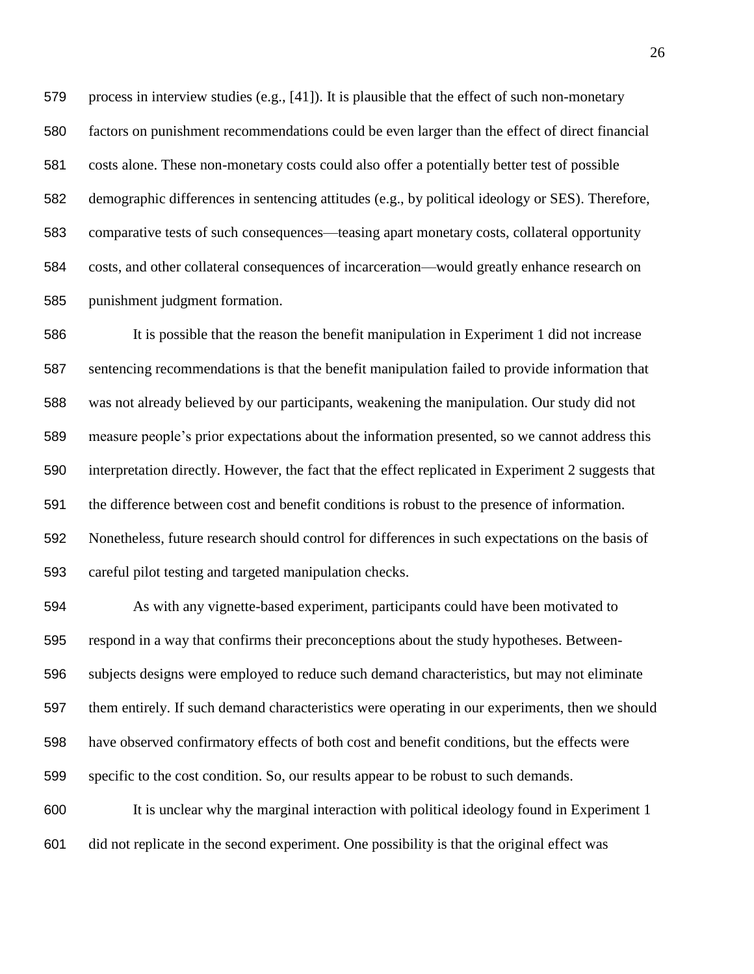process in interview studies (e.g., [41]). It is plausible that the effect of such non-monetary factors on punishment recommendations could be even larger than the effect of direct financial costs alone. These non-monetary costs could also offer a potentially better test of possible demographic differences in sentencing attitudes (e.g., by political ideology or SES). Therefore, comparative tests of such consequences—teasing apart monetary costs, collateral opportunity costs, and other collateral consequences of incarceration—would greatly enhance research on punishment judgment formation.

 It is possible that the reason the benefit manipulation in Experiment 1 did not increase sentencing recommendations is that the benefit manipulation failed to provide information that was not already believed by our participants, weakening the manipulation. Our study did not measure people's prior expectations about the information presented, so we cannot address this interpretation directly. However, the fact that the effect replicated in Experiment 2 suggests that the difference between cost and benefit conditions is robust to the presence of information. Nonetheless, future research should control for differences in such expectations on the basis of careful pilot testing and targeted manipulation checks.

 As with any vignette-based experiment, participants could have been motivated to respond in a way that confirms their preconceptions about the study hypotheses. Between- subjects designs were employed to reduce such demand characteristics, but may not eliminate them entirely. If such demand characteristics were operating in our experiments, then we should have observed confirmatory effects of both cost and benefit conditions, but the effects were specific to the cost condition. So, our results appear to be robust to such demands.

 It is unclear why the marginal interaction with political ideology found in Experiment 1 did not replicate in the second experiment. One possibility is that the original effect was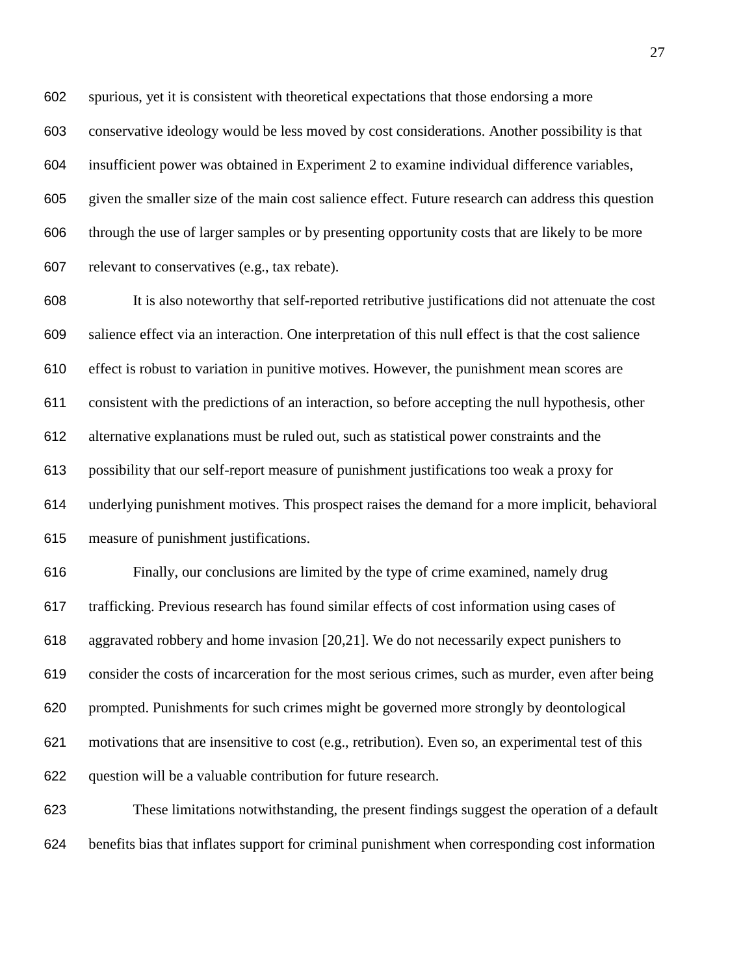spurious, yet it is consistent with theoretical expectations that those endorsing a more conservative ideology would be less moved by cost considerations. Another possibility is that insufficient power was obtained in Experiment 2 to examine individual difference variables, given the smaller size of the main cost salience effect. Future research can address this question through the use of larger samples or by presenting opportunity costs that are likely to be more relevant to conservatives (e.g., tax rebate).

 It is also noteworthy that self-reported retributive justifications did not attenuate the cost salience effect via an interaction. One interpretation of this null effect is that the cost salience effect is robust to variation in punitive motives. However, the punishment mean scores are consistent with the predictions of an interaction, so before accepting the null hypothesis, other alternative explanations must be ruled out, such as statistical power constraints and the possibility that our self-report measure of punishment justifications too weak a proxy for underlying punishment motives. This prospect raises the demand for a more implicit, behavioral measure of punishment justifications.

 Finally, our conclusions are limited by the type of crime examined, namely drug trafficking. Previous research has found similar effects of cost information using cases of aggravated robbery and home invasion [20,21]. We do not necessarily expect punishers to consider the costs of incarceration for the most serious crimes, such as murder, even after being prompted. Punishments for such crimes might be governed more strongly by deontological motivations that are insensitive to cost (e.g., retribution). Even so, an experimental test of this question will be a valuable contribution for future research.

 These limitations notwithstanding, the present findings suggest the operation of a default benefits bias that inflates support for criminal punishment when corresponding cost information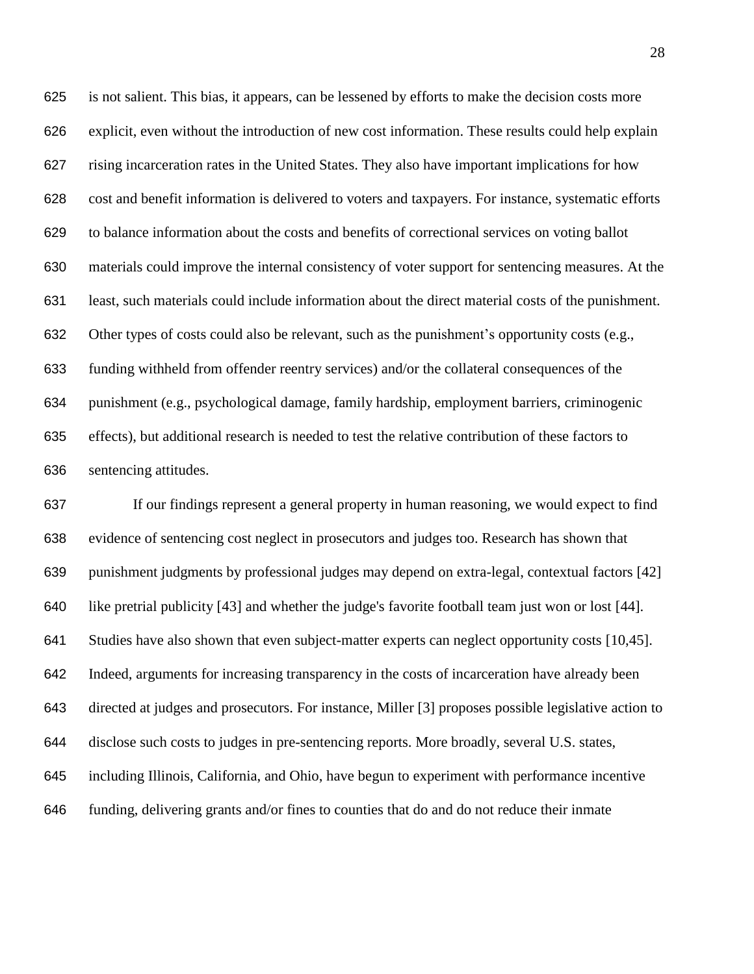is not salient. This bias, it appears, can be lessened by efforts to make the decision costs more explicit, even without the introduction of new cost information. These results could help explain rising incarceration rates in the United States. They also have important implications for how cost and benefit information is delivered to voters and taxpayers. For instance, systematic efforts to balance information about the costs and benefits of correctional services on voting ballot materials could improve the internal consistency of voter support for sentencing measures. At the least, such materials could include information about the direct material costs of the punishment. Other types of costs could also be relevant, such as the punishment's opportunity costs (e.g., funding withheld from offender reentry services) and/or the collateral consequences of the punishment (e.g., psychological damage, family hardship, employment barriers, criminogenic effects), but additional research is needed to test the relative contribution of these factors to sentencing attitudes.

 If our findings represent a general property in human reasoning, we would expect to find evidence of sentencing cost neglect in prosecutors and judges too. Research has shown that punishment judgments by professional judges may depend on extra-legal, contextual factors [42] like pretrial publicity [43] and whether the judge's favorite football team just won or lost [44]. Studies have also shown that even subject-matter experts can neglect opportunity costs [10,45]. Indeed, arguments for increasing transparency in the costs of incarceration have already been directed at judges and prosecutors. For instance, Miller [3] proposes possible legislative action to disclose such costs to judges in pre-sentencing reports. More broadly, several U.S. states, including Illinois, California, and Ohio, have begun to experiment with performance incentive funding, delivering grants and/or fines to counties that do and do not reduce their inmate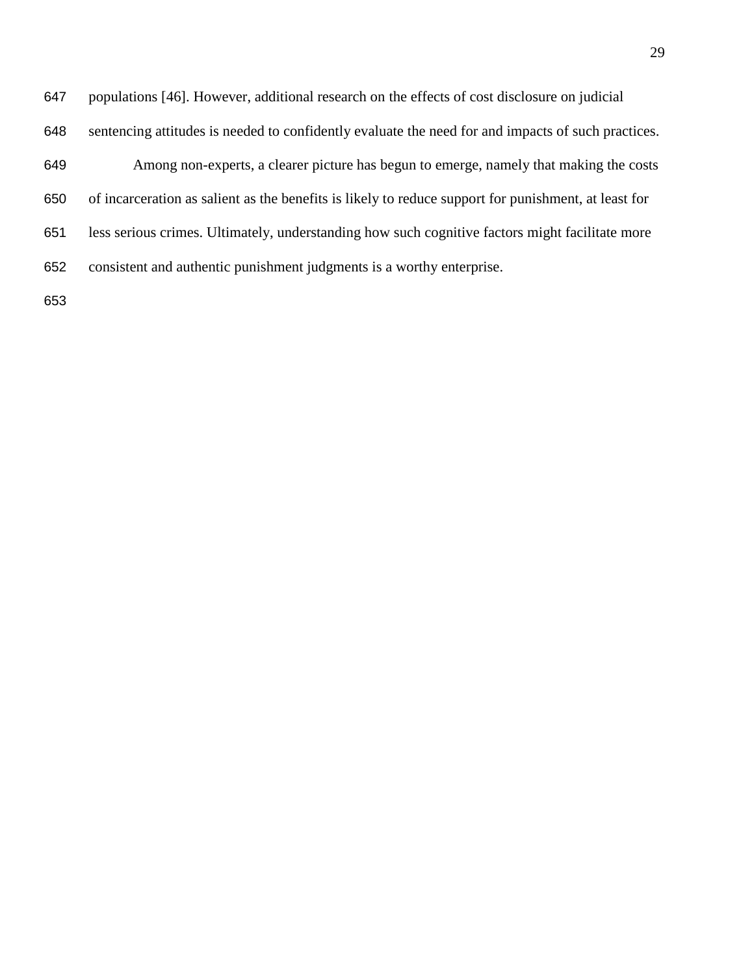| 647 | populations [46]. However, additional research on the effects of cost disclosure on judicial         |
|-----|------------------------------------------------------------------------------------------------------|
| 648 | sentencing attitudes is needed to confidently evaluate the need for and impacts of such practices.   |
| 649 | Among non-experts, a clearer picture has begun to emerge, namely that making the costs               |
| 650 | of incarceration as salient as the benefits is likely to reduce support for punishment, at least for |
| 651 | less serious crimes. Ultimately, understanding how such cognitive factors might facilitate more      |
| 652 | consistent and authentic punishment judgments is a worthy enterprise.                                |
| 653 |                                                                                                      |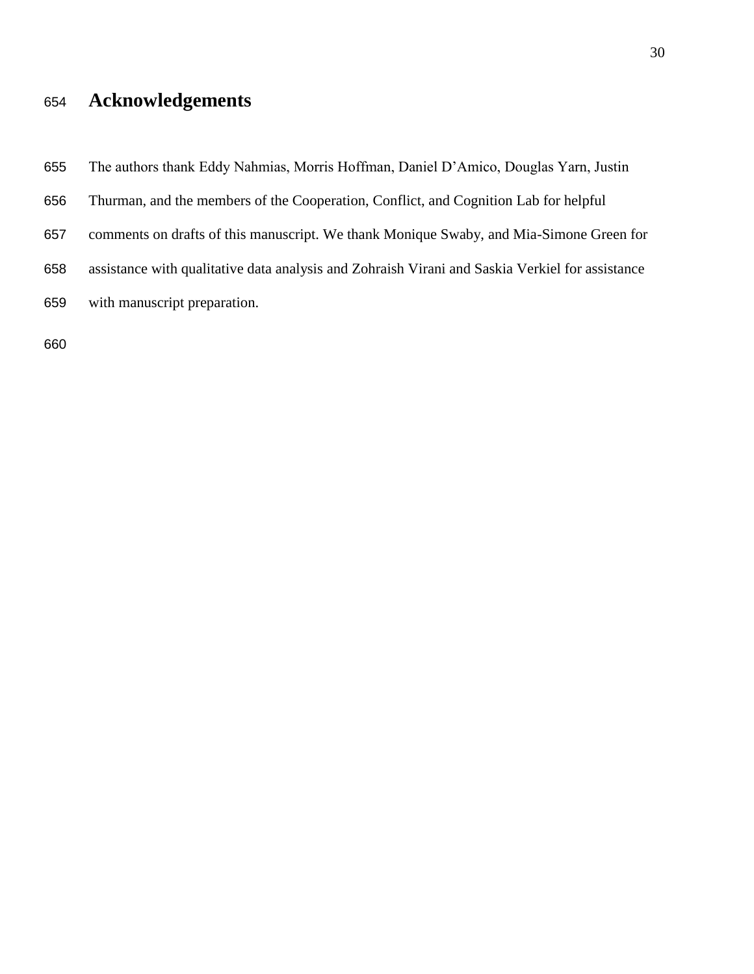# **Acknowledgements**

The authors thank Eddy Nahmias, Morris Hoffman, Daniel D'Amico, Douglas Yarn, Justin

- Thurman, and the members of the Cooperation, Conflict, and Cognition Lab for helpful
- comments on drafts of this manuscript. We thank Monique Swaby, and Mia-Simone Green for
- assistance with qualitative data analysis and Zohraish Virani and Saskia Verkiel for assistance with manuscript preparation.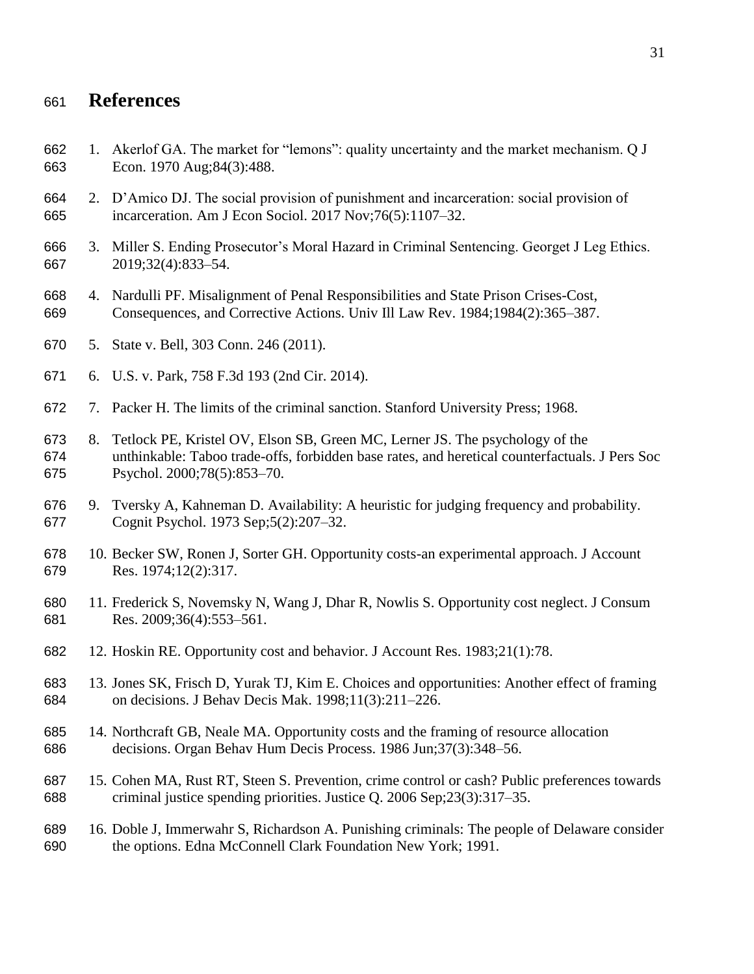### **References**

- 1. Akerlof GA. The market for "lemons": quality uncertainty and the market mechanism. Q J Econ. 1970 Aug;84(3):488.
- 2. D'Amico DJ. The social provision of punishment and incarceration: social provision of incarceration. Am J Econ Sociol. 2017 Nov;76(5):1107–32.
- 3. Miller S. Ending Prosecutor's Moral Hazard in Criminal Sentencing. Georget J Leg Ethics. 2019;32(4):833–54.
- 4. Nardulli PF. Misalignment of Penal Responsibilities and State Prison Crises-Cost, Consequences, and Corrective Actions. Univ Ill Law Rev. 1984;1984(2):365–387.
- 5. State v. Bell, 303 Conn. 246 (2011).
- 6. U.S. v. Park, 758 F.3d 193 (2nd Cir. 2014).
- 7. Packer H. The limits of the criminal sanction. Stanford University Press; 1968.
- 8. Tetlock PE, Kristel OV, Elson SB, Green MC, Lerner JS. The psychology of the unthinkable: Taboo trade-offs, forbidden base rates, and heretical counterfactuals. J Pers Soc Psychol. 2000;78(5):853–70.
- 9. Tversky A, Kahneman D. Availability: A heuristic for judging frequency and probability. Cognit Psychol. 1973 Sep;5(2):207–32.
- 10. Becker SW, Ronen J, Sorter GH. Opportunity costs-an experimental approach. J Account Res. 1974;12(2):317.
- 11. Frederick S, Novemsky N, Wang J, Dhar R, Nowlis S. Opportunity cost neglect. J Consum Res. 2009;36(4):553–561.
- 12. Hoskin RE. Opportunity cost and behavior. J Account Res. 1983;21(1):78.
- 13. Jones SK, Frisch D, Yurak TJ, Kim E. Choices and opportunities: Another effect of framing on decisions. J Behav Decis Mak. 1998;11(3):211–226.
- 14. Northcraft GB, Neale MA. Opportunity costs and the framing of resource allocation decisions. Organ Behav Hum Decis Process. 1986 Jun;37(3):348–56.
- 15. Cohen MA, Rust RT, Steen S. Prevention, crime control or cash? Public preferences towards criminal justice spending priorities. Justice Q. 2006 Sep;23(3):317–35.
- 16. Doble J, Immerwahr S, Richardson A. Punishing criminals: The people of Delaware consider the options. Edna McConnell Clark Foundation New York; 1991.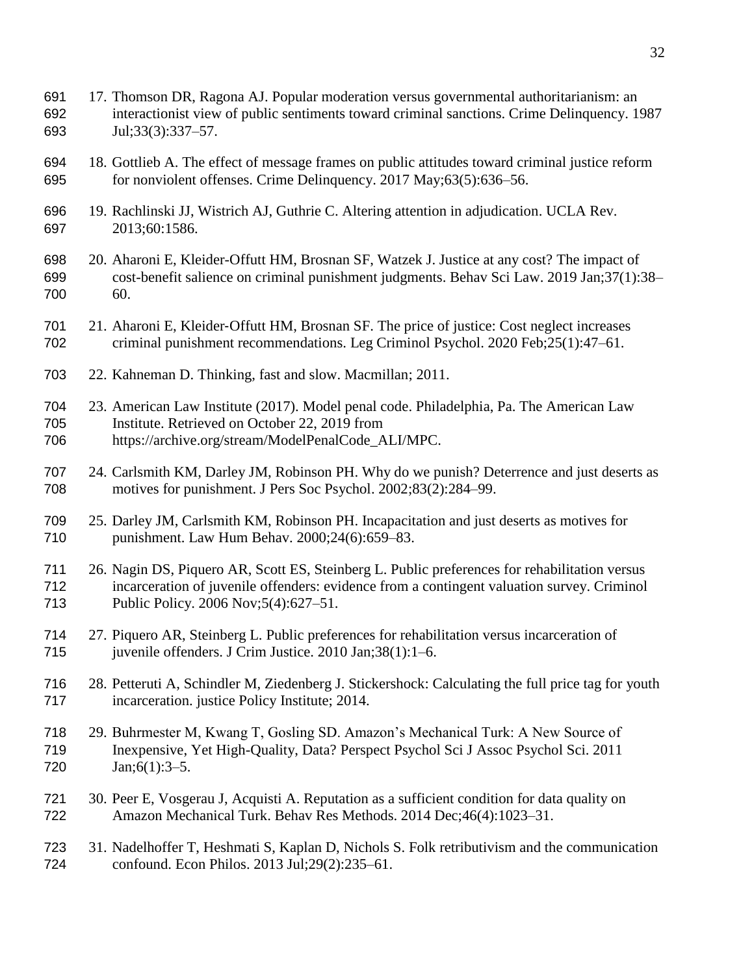- 17. Thomson DR, Ragona AJ. Popular moderation versus governmental authoritarianism: an interactionist view of public sentiments toward criminal sanctions. Crime Delinquency. 1987 Jul;33(3):337–57.
- 18. Gottlieb A. The effect of message frames on public attitudes toward criminal justice reform for nonviolent offenses. Crime Delinquency. 2017 May;63(5):636–56.
- 19. Rachlinski JJ, Wistrich AJ, Guthrie C. Altering attention in adjudication. UCLA Rev. 2013;60:1586.
- 20. Aharoni E, Kleider-Offutt HM, Brosnan SF, Watzek J. Justice at any cost? The impact of cost-benefit salience on criminal punishment judgments. Behav Sci Law. 2019 Jan;37(1):38– 60.
- 21. Aharoni E, Kleider‐Offutt HM, Brosnan SF. The price of justice: Cost neglect increases criminal punishment recommendations. Leg Criminol Psychol. 2020 Feb;25(1):47–61.
- 22. Kahneman D. Thinking, fast and slow. Macmillan; 2011.
- 23. American Law Institute (2017). Model penal code. Philadelphia, Pa. The American Law Institute. Retrieved on October 22, 2019 from https://archive.org/stream/ModelPenalCode\_ALI/MPC.
- 24. Carlsmith KM, Darley JM, Robinson PH. Why do we punish? Deterrence and just deserts as motives for punishment. J Pers Soc Psychol. 2002;83(2):284–99.
- 25. Darley JM, Carlsmith KM, Robinson PH. Incapacitation and just deserts as motives for punishment. Law Hum Behav. 2000;24(6):659–83.
- 26. Nagin DS, Piquero AR, Scott ES, Steinberg L. Public preferences for rehabilitation versus incarceration of juvenile offenders: evidence from a contingent valuation survey. Criminol Public Policy. 2006 Nov;5(4):627–51.
- 27. Piquero AR, Steinberg L. Public preferences for rehabilitation versus incarceration of juvenile offenders. J Crim Justice. 2010 Jan;38(1):1–6.
- 28. Petteruti A, Schindler M, Ziedenberg J. Stickershock: Calculating the full price tag for youth incarceration. justice Policy Institute; 2014.
- 29. Buhrmester M, Kwang T, Gosling SD. Amazon's Mechanical Turk: A New Source of Inexpensive, Yet High-Quality, Data? Perspect Psychol Sci J Assoc Psychol Sci. 2011 Jan;6(1):3–5.
- 30. Peer E, Vosgerau J, Acquisti A. Reputation as a sufficient condition for data quality on Amazon Mechanical Turk. Behav Res Methods. 2014 Dec;46(4):1023–31.
- 31. Nadelhoffer T, Heshmati S, Kaplan D, Nichols S. Folk retributivism and the communication confound. Econ Philos. 2013 Jul;29(2):235–61.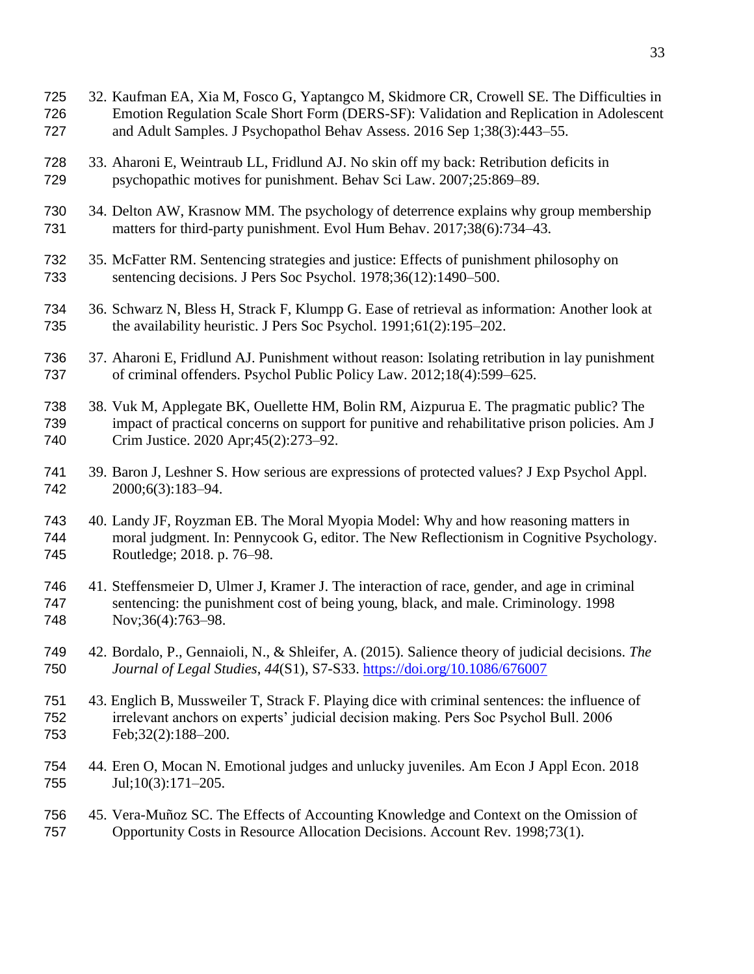- 32. Kaufman EA, Xia M, Fosco G, Yaptangco M, Skidmore CR, Crowell SE. The Difficulties in Emotion Regulation Scale Short Form (DERS-SF): Validation and Replication in Adolescent and Adult Samples. J Psychopathol Behav Assess. 2016 Sep 1;38(3):443–55. 33. Aharoni E, Weintraub LL, Fridlund AJ. No skin off my back: Retribution deficits in psychopathic motives for punishment. Behav Sci Law. 2007;25:869–89. 34. Delton AW, Krasnow MM. The psychology of deterrence explains why group membership matters for third-party punishment. Evol Hum Behav. 2017;38(6):734–43. 35. McFatter RM. Sentencing strategies and justice: Effects of punishment philosophy on sentencing decisions. J Pers Soc Psychol. 1978;36(12):1490–500. 36. Schwarz N, Bless H, Strack F, Klumpp G. Ease of retrieval as information: Another look at the availability heuristic. J Pers Soc Psychol. 1991;61(2):195–202. 37. Aharoni E, Fridlund AJ. Punishment without reason: Isolating retribution in lay punishment of criminal offenders. Psychol Public Policy Law. 2012;18(4):599–625.
- 38. Vuk M, Applegate BK, Ouellette HM, Bolin RM, Aizpurua E. The pragmatic public? The impact of practical concerns on support for punitive and rehabilitative prison policies. Am J Crim Justice. 2020 Apr;45(2):273–92.
- 39. Baron J, Leshner S. How serious are expressions of protected values? J Exp Psychol Appl. 2000;6(3):183–94.
- 40. Landy JF, Royzman EB. The Moral Myopia Model: Why and how reasoning matters in moral judgment. In: Pennycook G, editor. The New Reflectionism in Cognitive Psychology. Routledge; 2018. p. 76–98.
- 41. Steffensmeier D, Ulmer J, Kramer J. The interaction of race, gender, and age in criminal sentencing: the punishment cost of being young, black, and male. Criminology. 1998 Nov;36(4):763–98.
- 42. Bordalo, P., Gennaioli, N., & Shleifer, A. (2015). Salience theory of judicial decisions. *The Journal of Legal Studies*, *44*(S1), S7-S33.<https://doi.org/10.1086/676007>
- 43. Englich B, Mussweiler T, Strack F. Playing dice with criminal sentences: the influence of irrelevant anchors on experts' judicial decision making. Pers Soc Psychol Bull. 2006 Feb;32(2):188–200.
- 44. Eren O, Mocan N. Emotional judges and unlucky juveniles. Am Econ J Appl Econ. 2018 755 Jul;10(3):171-205.
- 45. Vera-Muñoz SC. The Effects of Accounting Knowledge and Context on the Omission of Opportunity Costs in Resource Allocation Decisions. Account Rev. 1998;73(1).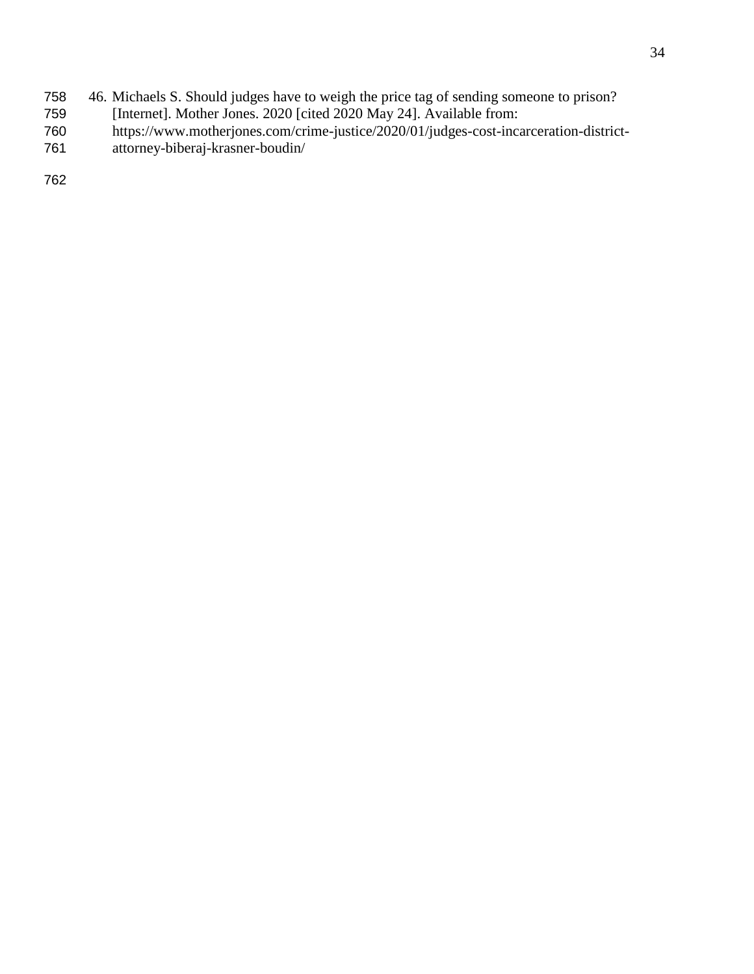- 758 46. Michaels S. Should judges have to weigh the price tag of sending someone to prison?<br>759 [Internet]. Mother Jones. 2020 [cited 2020 May 24]. Available from:
- 759 [Internet]. Mother Jones. 2020 [cited 2020 May 24]. Available from:<br>760 https://www.motherjones.com/crime-justice/2020/01/judges-cost-inca
- https://www.motherjones.com/crime-justice/2020/01/judges-cost-incarceration-district-
- 761 attorney-biberaj-krasner-boudin/

762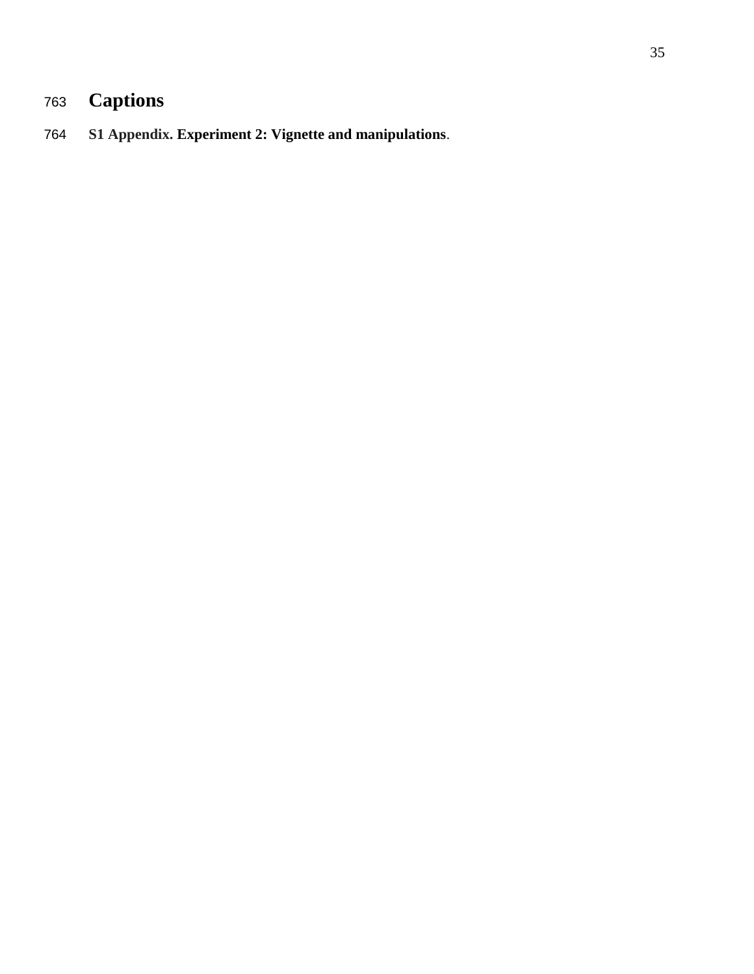# **Captions**

# **S1 Appendix. Experiment 2: Vignette and manipulations**.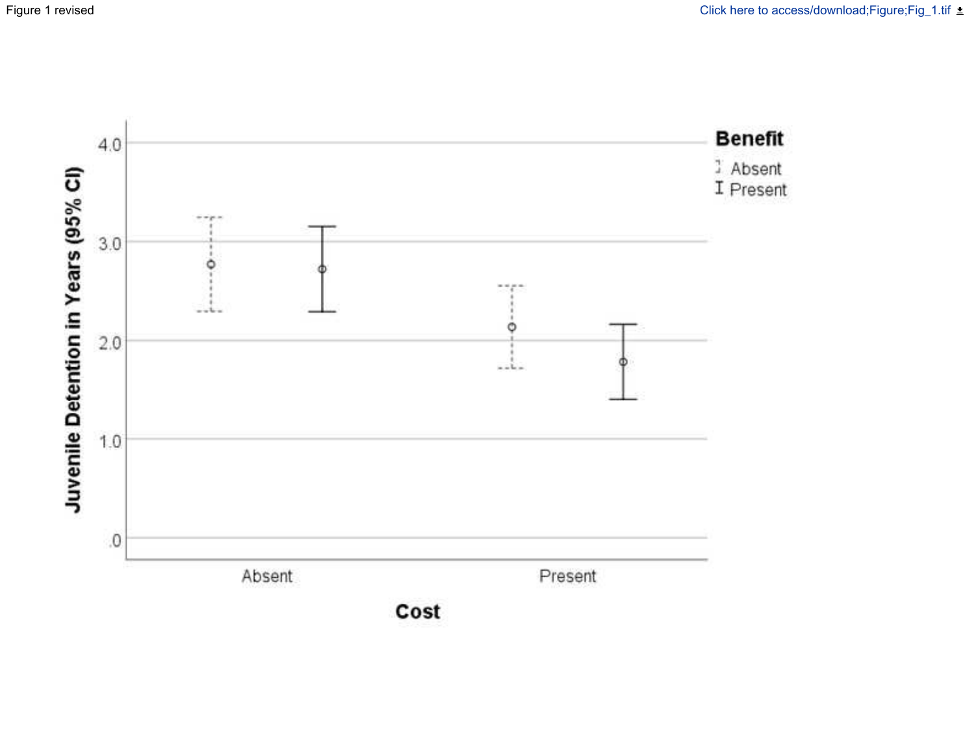